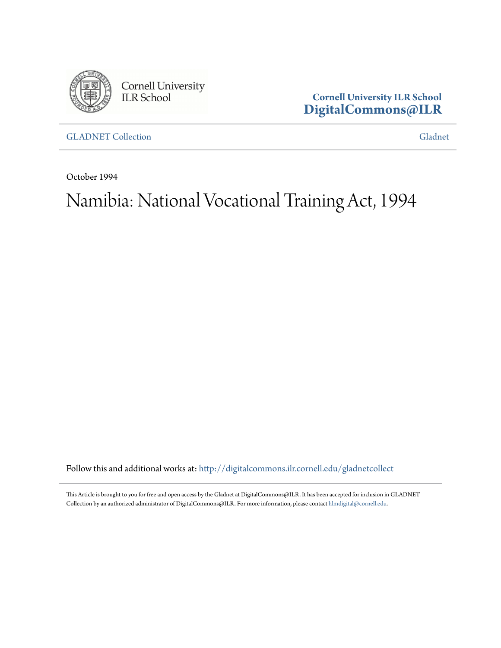

Cornell University<br>ILR School

**Cornell University ILR School [DigitalCommons@ILR](http://digitalcommons.ilr.cornell.edu?utm_source=digitalcommons.ilr.cornell.edu%2Fgladnetcollect%2F132&utm_medium=PDF&utm_campaign=PDFCoverPages)**

[GLADNET Collection](http://digitalcommons.ilr.cornell.edu/gladnetcollect?utm_source=digitalcommons.ilr.cornell.edu%2Fgladnetcollect%2F132&utm_medium=PDF&utm_campaign=PDFCoverPages) [Gladnet](http://digitalcommons.ilr.cornell.edu/gladnet?utm_source=digitalcommons.ilr.cornell.edu%2Fgladnetcollect%2F132&utm_medium=PDF&utm_campaign=PDFCoverPages) Collection Gladnet Collection Gladnet Collection Gladnet Collection Gladnet Collection

October 1994

# Namibia: National Vocational Training Act, 1994

Follow this and additional works at: [http://digitalcommons.ilr.cornell.edu/gladnetcollect](http://digitalcommons.ilr.cornell.edu/gladnetcollect?utm_source=digitalcommons.ilr.cornell.edu%2Fgladnetcollect%2F132&utm_medium=PDF&utm_campaign=PDFCoverPages)

This Article is brought to you for free and open access by the Gladnet at DigitalCommons@ILR. It has been accepted for inclusion in GLADNET Collection by an authorized administrator of DigitalCommons@ILR. For more information, please contact [hlmdigital@cornell.edu.](mailto:hlmdigital@cornell.edu)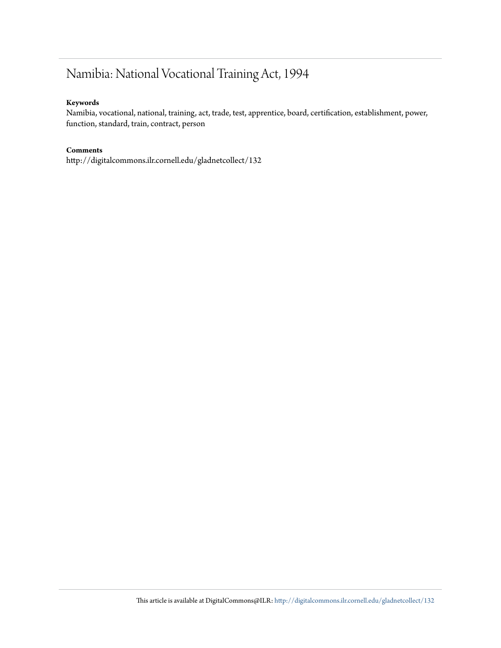# Namibia: National Vocational Training Act, 1994

#### **Keywords**

Namibia, vocational, national, training, act, trade, test, apprentice, board, certification, establishment, power, function, standard, train, contract, person

#### **Comments**

http://digitalcommons.ilr.cornell.edu/gladnetcollect/132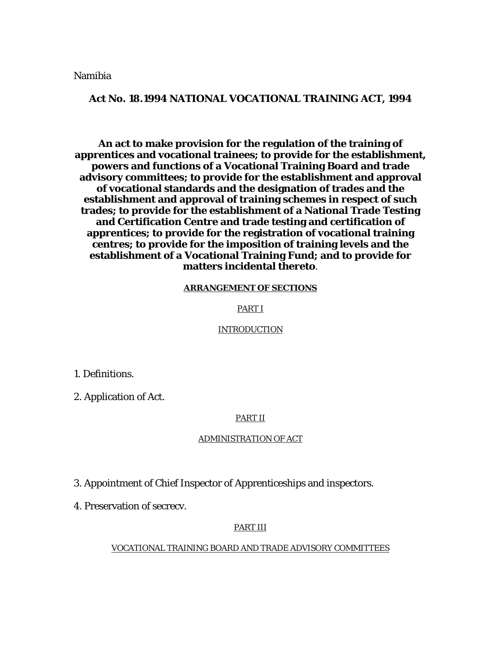Namibia

#### **Act No. 18.1994 NATIONAL VOCATIONAL TRAINING ACT, 1994**

**An act to make provision for the regulation of the training of apprentices and vocational trainees; to provide for the establishment, powers and functions of a Vocational Training Board and trade advisory committees; to provide for the establishment and approval of vocational standards and the designation of trades and the establishment and approval of training schemes in respect of such trades; to provide for the establishment of a National Trade Testing and Certification Centre and trade testing and certification of apprentices; to provide for the registration of vocational training centres; to provide for the imposition of training levels and the establishment of a Vocational Training Fund; and to provide for matters incidental thereto**.

#### **ARRANGEMENT OF SECTIONS**

#### PART I

#### INTRODUCTION

1. Definitions.

2. Application of Act.

#### PART II

#### ADMINISTRATION OF ACT

3. Appointment of Chief Inspector of Apprenticeships and inspectors.

4. Preservation of secrecv.

#### PART III

#### VOCATIONAL TRAINING BOARD AND TRADE ADVISORY COMMITTEES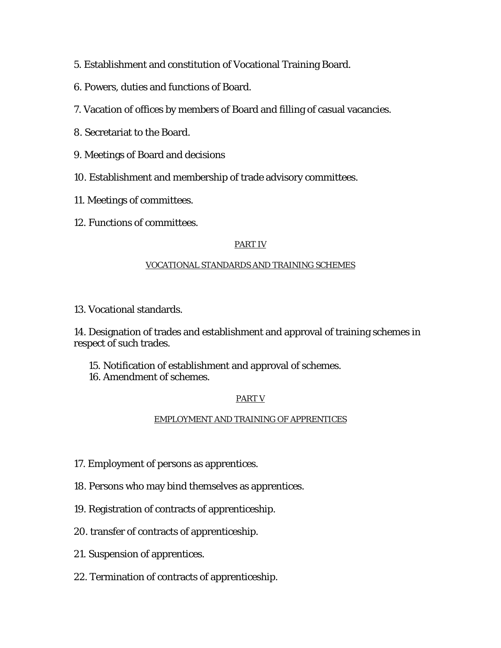- 5. Establishment and constitution of Vocational Training Board.
- 6. Powers, duties and functions of Board.
- 7. Vacation of offices by members of Board and filling of casual vacancies.
- 8. Secretariat to the Board.
- 9. Meetings of Board and decisions
- 10. Establishment and membership of trade advisory committees.
- 11. Meetings of committees.
- 12. Functions of committees.

# PART IV

# VOCATIONAL STANDARDS AND TRAINING SCHEMES

13. Vocational standards.

14. Designation of trades and establishment and approval of training schemes in respect of such trades.

- 15. Notification of establishment and approval of schemes.
- 16. Amendment of schemes.

# PART V

### EMPLOYMENT AND TRAINING OF APPRENTICES

- 17. Employment of persons as apprentices.
- 18. Persons who may bind themselves as apprentices.
- 19. Registration of contracts of apprenticeship.
- 20. transfer of contracts of apprenticeship.
- 21. Suspension of apprentices.
- 22. Termination of contracts of apprenticeship.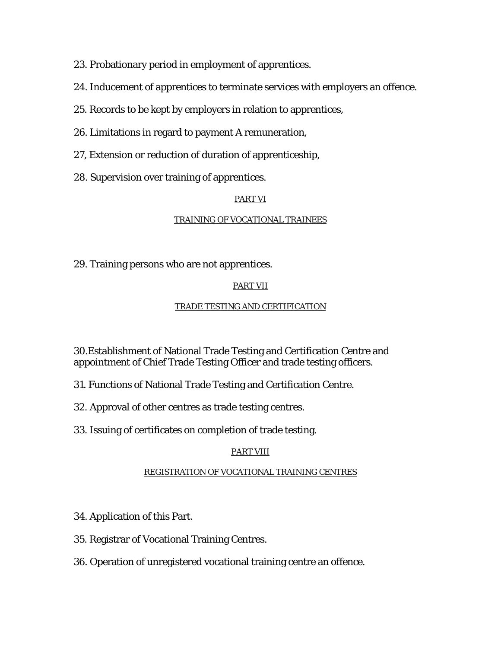23. Probationary period in employment of apprentices.

- 24. Inducement of apprentices to terminate services with employers an offence.
- 25. Records to be kept by employers in relation to apprentices,
- 26. Limitations in regard to payment A remuneration,
- 27, Extension or reduction of duration of apprenticeship,
- 28. Supervision over training of apprentices.

# PART VI

# TRAINING OF VOCATIONAL TRAINEES

29. Training persons who are not apprentices.

# PART VII

# TRADE TESTING AND CERTIFICATION

30.Establishment of National Trade Testing and Certification Centre and appointment of Chief Trade Testing Officer and trade testing officers.

31. Functions of National Trade Testing and Certification Centre.

- 32. Approval of other centres as trade testing centres.
- 33. Issuing of certificates on completion of trade testing.

# PART VIII

### REGISTRATION OF VOCATIONAL TRAINING CENTRES

- 34. Application of this Part.
- 35. Registrar of Vocational Training Centres.
- 36. Operation of unregistered vocational training centre an offence.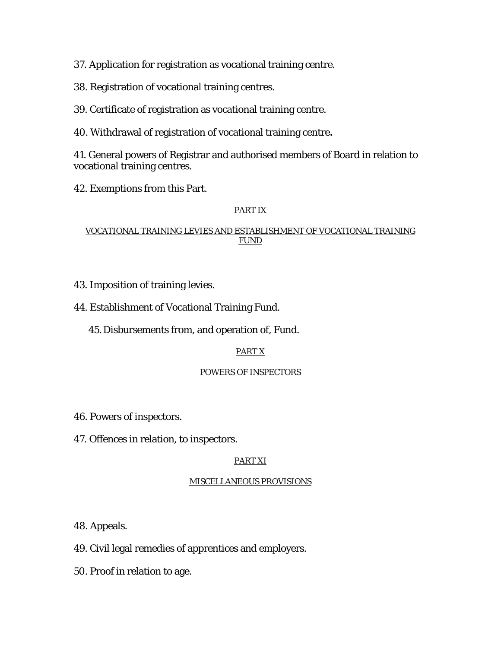37. Application for registration as vocational training centre.

38. Registration of vocational training centres.

39. Certificate of registration as vocational training centre.

40. Withdrawal of registration of vocational training centre**.** 

41. General powers of Registrar and authorised members of Board in relation to vocational training centres.

42. Exemptions from this Part.

# PART IX

# VOCATIONAL TRAINING LEVIES AND ESTABLISHMENT OF VOCATIONAL TRAINING FUND

- 43. Imposition of training levies.
- 44. Establishment of Vocational Training Fund.
	- 45.Disbursements from, and operation of, Fund.

# PART X

### POWERS OF INSPECTORS

- 46*.* Powers of inspectors.
- 47. Offences in relation, to inspectors.

# PART XI

### MISCELLANEOUS PROVISIONS

48. Appeals.

- 49. Civil legal remedies of apprentices and employers.
- 50*.* Proof in relation to age.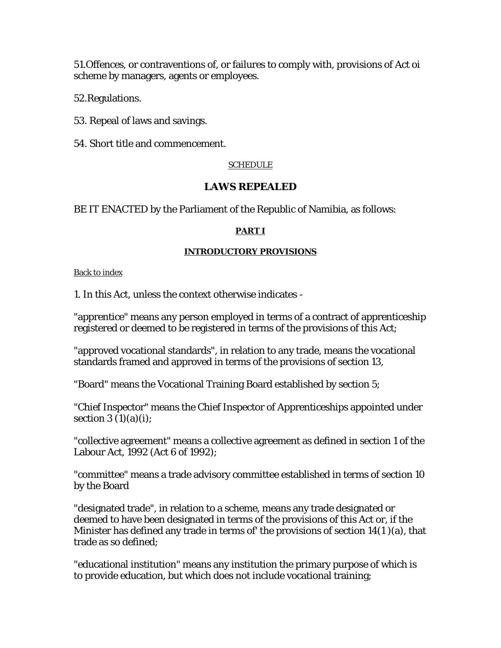51.Offences, or contraventions of, or failures to comply with, provisions of *Act oi*  scheme by managers, agents or employees.

52.Regulations.

53. Repeal of laws and savings.

54. Short title and commencement.

## SCHEDULE

# **LAWS REPEALED**

BE IT ENACTED by the Parliament of the Republic of Namibia, as follows:

### **PART I**

#### **INTRODUCTORY PROVISIONS**

Back to index

1. In this Act, unless the context otherwise indicates -

"apprentice" means any person employed in terms of a contract of apprenticeship registered or deemed to be registered in terms of the provisions of this Act;

"approved vocational standards", in relation to any trade, means the vocational standards framed and approved in terms of the provisions of section 13,

"Board" means the Vocational Training Board established by section 5;

"Chief Inspector" means the Chief Inspector of Apprenticeships appointed under section  $3(1)(a)(i)$ ;

"collective agreement" means a collective agreement as defined in section 1 of the Labour Act, 1992 (Act 6 of 1992);

"committee" means a trade advisory committee established in terms of section 10 by the Board

"designated trade", in relation to a scheme, means any trade designated or deemed to have been designated in terms of the provisions of this Act or, if the Minister has defined any trade in terms of' the provisions of section 14(1 )(a), that trade as so defined;

"educational institution" means any institution the primary purpose of which is to provide education, but which does not include vocational training;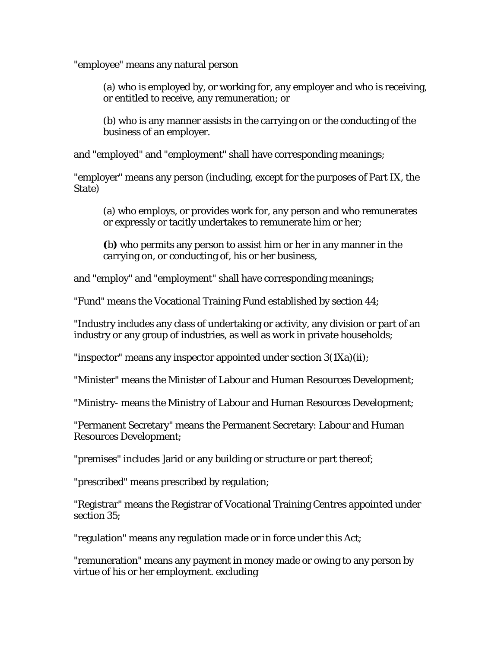"employee" means any natural person

(a) who is employed by, or working for, any employer and who is receiving, or entitled to receive, any remuneration; or

(b) who is any manner assists in the carrying on or the conducting of the business of an employer.

and "employed" and "employment" shall have corresponding meanings;

"employer" means any person (including, except for the purposes of Part IX, the State)

(a) who employs, or provides work for, any person and who remunerates or expressly or tacitly undertakes to remunerate him or her;

**(**b**)** who permits any person to assist him or her in any manner in the carrying on, or conducting of, his or her business,

and "employ" and "employment" shall have corresponding meanings;

"Fund" means the Vocational Training Fund established by section 44;

"Industry includes any class of undertaking or activity, any division or part of an industry or any group of industries, as well as work in private households;

"inspector" means any inspector appointed under section 3(1Xa)(ii);

"Minister" means the Minister of Labour and Human Resources Development;

"Ministry- means the Ministry of Labour and Human Resources Development;

"Permanent Secretary" means the Permanent Secretary: Labour and Human Resources Development;

"premises" includes ]arid or any building or structure or part thereof;

"prescribed" means prescribed by regulation;

"Registrar" means the Registrar of Vocational Training Centres appointed under section 35;

"regulation" means any regulation made or in force under this Act;

"remuneration" means any payment in money made or owing to any person by virtue of his or her employment. excluding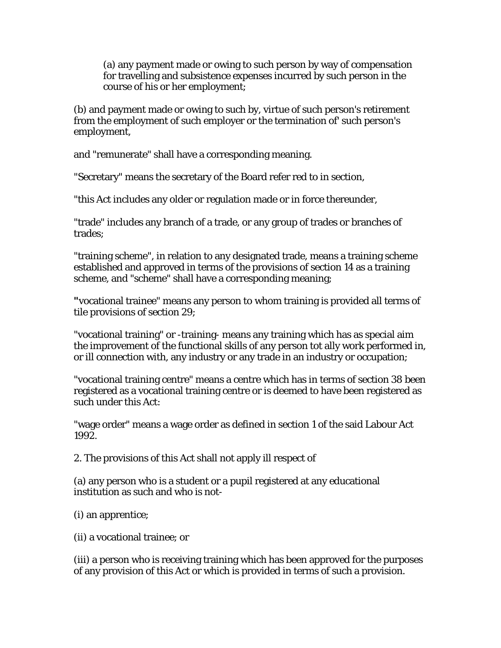(a) any payment made or owing to such person by way of compensation for travelling and subsistence expenses incurred by such person in the course of his or her employment;

(b) and payment made or owing to such by, virtue of such person's retirement from the employment of such employer or the termination of' such person's employment,

and "remunerate" shall have a corresponding meaning.

"Secretary" means the secretary of the Board refer red to in section,

"this Act includes any older or regulation made or in force thereunder,

"trade" includes any branch of a trade, or any group of trades or branches of trades;

"training scheme", in relation to any designated trade, means a training scheme established and approved in terms of the provisions of section 14 as a training scheme, and "scheme" shall have a corresponding meaning;

**"**vocational trainee" means any person to whom training is provided all terms of tile provisions of section 29;

"vocational training" or -training- means any training which has as special aim the improvement of the functional skills of any person tot ally work performed in, or ill connection with, any industry or any trade in an industry or occupation;

"vocational training centre" means a centre which has in terms of section 38 been registered as a vocational training centre or is deemed to have been registered as such under this Act:

"wage order" means a wage order as defined in section 1 of the said Labour Act 1992.

2. The provisions of this Act shall not apply ill respect of

(a) any person who is a student or a pupil registered at any educational institution as such and who is not-

(i) an apprentice;

(ii) a vocational trainee; or

(iii) a person who is receiving training which has been approved for the purposes of any provision of this Act or which is provided in terms of such a provision.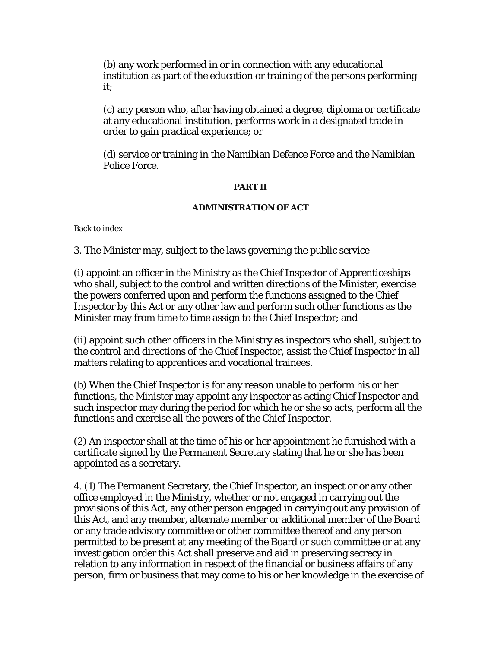(b) any work performed in or in connection with any educational institution as part of the education or training of the persons performing it;

(c) any person who, after having obtained a degree, diploma or certificate at any educational institution, performs work in a designated trade in order to gain practical experience; or

(d) service or training in the Namibian Defence Force and the Namibian Police Force.

### **PART II**

# **ADMINISTRATION OF ACT**

Back to index

3. The Minister may, subject to the laws governing the public service

(i) appoint an officer in the Ministry as the Chief Inspector of Apprenticeships who shall, subject to the control and written directions of the Minister, exercise the powers conferred upon and perform the functions assigned to the Chief Inspector by this Act or any other law and perform such other functions as the Minister may from time to time assign to the Chief Inspector; and

(ii) appoint such other officers in the Ministry as inspectors who shall, subject to the control and directions of the Chief Inspector, assist the Chief Inspector in all matters relating to apprentices and vocational trainees.

(b) When the Chief Inspector is for any reason unable to perform his or her functions, the Minister may appoint any inspector as acting Chief Inspector and such inspector may during the period for which he or she so acts, perform all the functions and exercise all the powers of the Chief Inspector.

(2) An inspector shall at the time of his or her appointment he furnished with a certificate signed by the Permanent Secretary stating that he or she has been appointed as a secretary.

4. (1) The Permanent Secretary, the Chief Inspector, an inspect or or any other office employed in the Ministry, whether or not engaged in carrying out the provisions of this Act, any other person engaged in carrying out any provision of this Act, and any member, alternate member or additional member of the Board or any trade advisory committee or other committee thereof and any person permitted to be present at any meeting of the Board or such committee or at any investigation order this Act shall preserve and aid in preserving secrecy in relation to any information in respect of the financial or business affairs of any person, firm or business that may come to his or her knowledge in the exercise of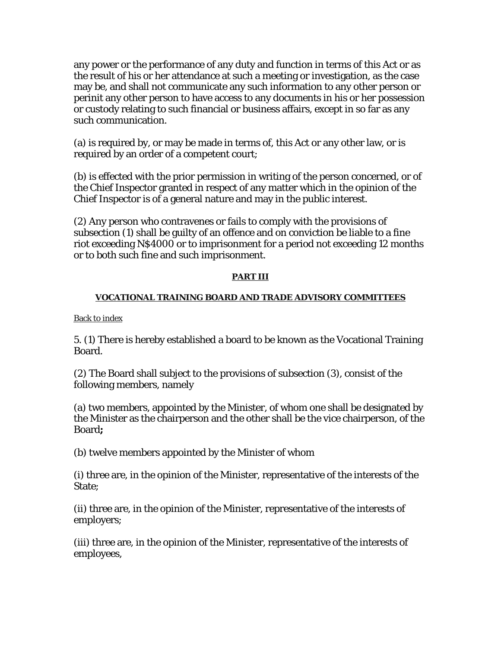any power or the performance of any duty and function in terms of this Act or as the result of his or her attendance at such a meeting or investigation, as the case may be, and shall not communicate any such information to any other person or perinit any other person to have access to any documents in his or her possession or custody relating to such financial or business affairs, except in so far as any such communication.

(a) is required by, or may be made in terms of, this Act or any other law, or is required by an order of a competent court;

(b) is effected with the prior permission in writing of the person concerned, or of the Chief Inspector granted in respect of any matter which in the opinion of the Chief Inspector is of a general nature and may in the public interest.

(2) Any person who contravenes or fails to comply with the provisions of subsection (1) shall be guilty of an offence and on conviction be liable to a fine riot exceeding N\$4000 or to imprisonment for a period not exceeding 12 months or to both such fine and such imprisonment.

### **PART III**

### **VOCATIONAL TRAINING BOARD AND TRADE ADVISORY COMMITTEES**

Back to index

5. (1) There is hereby established a board to be known as the Vocational Training Board.

(2) The Board shall subject to the provisions of subsection (3), consist of the following members, namely

(a) two members, appointed by the Minister, of whom one shall be designated by the Minister as the chairperson and the other shall be the vice chairperson, of the Board**;** 

(b) twelve members appointed by the Minister of whom

(i) three are, in the opinion of the Minister, representative of the interests of the State;

(ii) three are, in the opinion of the Minister, representative of the interests of employers;

(iii) three are, in the opinion of the Minister, representative of the interests of employees,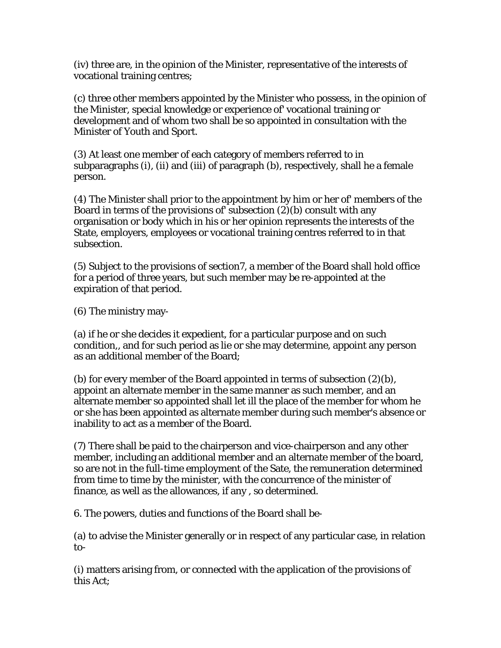(iv) three are, in the opinion of the Minister, representative of the interests of vocational training centres;

(c) three other members appointed by the Minister who possess, in the opinion of the Minister, special knowledge or experience of' vocational training or development and of whom two shall be so appointed in consultation with the Minister of Youth and Sport.

(3) At least one member of each category of members referred to in subparagraphs (i), (ii) and (iii) of paragraph (b), respectively, shall he a female person.

(4) The Minister shall prior to the appointment by him or her of' members of the Board in terms of the provisions of' subsection (2)(b) consult with any organisation or body which in his or her opinion represents the interests of the State, employers, employees or vocational training centres referred to in that subsection.

(5) Subject to the provisions of section7, a member of the Board shall hold office for a period of three years, but such member may be re-appointed at the expiration of that period.

(6) The ministry may-

(a) if he or she decides it expedient, for a particular purpose and on such condition,, and for such period as lie or she may determine, appoint any person as an additional member of the Board;

(b) for every member of the Board appointed in terms of subsection (2)(b), appoint an alternate member in the same manner as such member, and an alternate member so appointed shall let ill the place of the member for whom he or she has been appointed as alternate member during such member's absence or inability to act as a member of the Board.

(7) There shall be paid to the chairperson and vice-chairperson and any other member, including an additional member and an alternate member of the board, so are not in the full-time employment of the Sate, the remuneration determined from time to time by the minister, with the concurrence of the minister of finance, as well as the allowances, if any , so determined.

6. The powers, duties and functions of the Board shall be-

(a) to advise the Minister generally or in respect of any particular case, in relation to-

(i) matters arising from, or connected with the application of the provisions of this Act;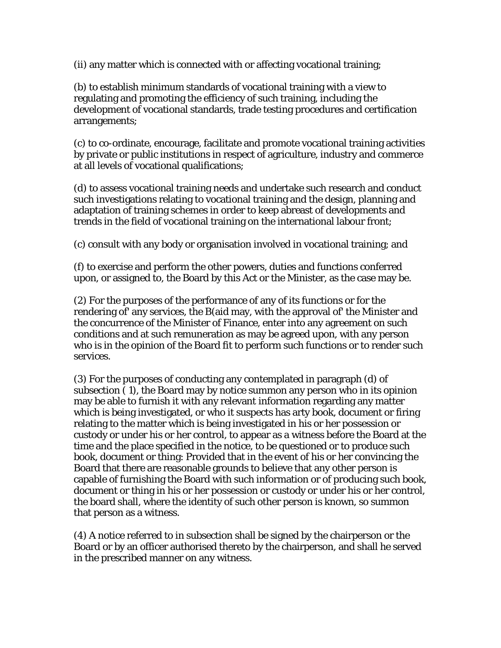(ii) any matter which is connected with or affecting vocational training;

(b) to establish minimum standards of vocational training with a view to regulating and promoting the efficiency of such training, including the development of vocational standards, trade testing procedures and certification arrangements;

(c) to co-ordinate, encourage, facilitate and promote vocational training activities by private or public institutions in respect of agriculture, industry and commerce at all levels of vocational qualifications;

(d) to assess vocational training needs and undertake such research and conduct such investigations relating to vocational training and the design, planning and adaptation of training schemes in order to keep abreast of developments and trends in the field of vocational training on the international labour front;

(c) consult with any body or organisation involved in vocational training; and

(f) to exercise and perform the other powers, duties and functions conferred upon, or assigned to, the Board by this Act or the Minister, as the case may be.

(2) For the purposes of the performance of any of its functions or for the rendering of' any services, the B(aid may, with the approval of' the Minister and the concurrence of the Minister of Finance, enter into any agreement on such conditions and at such remuneration as may be agreed upon, with any person who is in the opinion of the Board fit to perform such functions or to render such services.

(3) For the purposes of conducting any contemplated in paragraph (d) of subsection ( 1), the Board may by notice summon any person who in its opinion may be able to furnish it with any relevant information regarding any matter which is being investigated, or who it suspects has arty book, document or firing relating to the matter which is being investigated in his or her possession or custody or under his or her control, to appear as a witness before the Board at the time and the place specified in the notice, to be questioned or to produce such book, document or thing: Provided that in the event of his or her convincing the Board that there are reasonable grounds to believe that any other person is capable of furnishing the Board with such information or of producing such book, document or thing in his or her possession or custody or under his or her control, the board shall, where the identity of such other person is known, so summon that person as a witness.

(4) A notice referred to in subsection shall be signed by the chairperson or the Board or by an officer authorised thereto by the chairperson, and shall he served in the prescribed manner on any witness.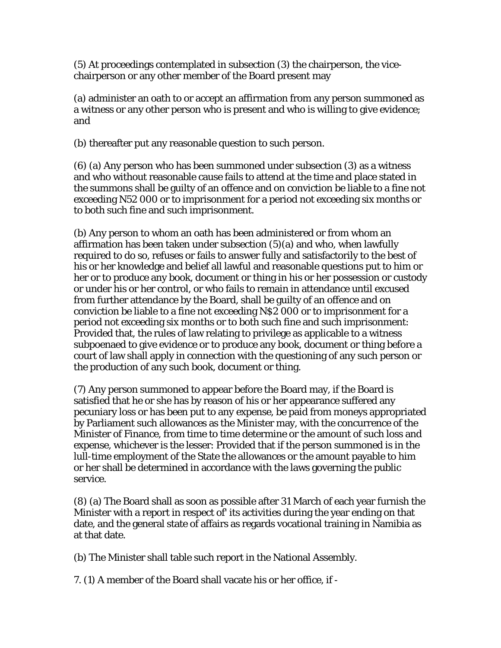(5) At proceedings contemplated in subsection (3) the chairperson, the vicechairperson or any other member of the Board present may

(a) administer an oath to or accept an affirmation from any person summoned as a witness or any other person who is present and who is willing to give evidence; and

(b) thereafter put any reasonable question to such person.

(6) (a) Any person who has been summoned under subsection (3) as a witness and who without reasonable cause fails to attend at the time and place stated in the summons shall be guilty of an offence and on conviction be liable to a fine not exceeding N52 000 or to imprisonment for a period not exceeding six months or to both such fine and such imprisonment.

(b) Any person to whom an oath has been administered or from whom an affirmation has been taken under subsection (5)(a) and who, when lawfully required to do so, refuses or fails to answer fully and satisfactorily to the best of his or her knowledge and belief all lawful and reasonable questions put to him or her or to produce any book, document or thing in his or her possession or custody or under his or her control, or who fails to remain in attendance until excused from further attendance by the Board, shall be guilty of an offence and on conviction be liable to a fine not exceeding N\$2 000 or to imprisonment for a period not exceeding six months or to both such fine and such imprisonment: Provided that, the rules of law relating to privilege as applicable to a witness subpoenaed to give evidence or to produce any book, document or thing before a court of law shall apply in connection with the questioning of any such person or the production of any such book, document or thing.

(7) Any person summoned to appear before the Board may, if the Board is satisfied that he or she has by reason of his or her appearance suffered any pecuniary loss or has been put to any expense, be paid from moneys appropriated by Parliament such allowances as the Minister may, with the concurrence of the Minister of Finance, from time to time determine or the amount of such loss and expense, whichever is the lesser: Provided that if the person summoned is in the lull-time employment of the State the allowances or the amount payable to him or her shall be determined in accordance with the laws governing the public service.

(8) (a) The Board shall as soon as possible after 31 March of each year furnish the Minister with a report in respect of' its activities during the year ending on that date, and the general state of affairs as regards vocational training in Namibia as at that date.

(b) The Minister shall table such report in the National Assembly.

7. (1) A member of the Board shall vacate his or her office, if -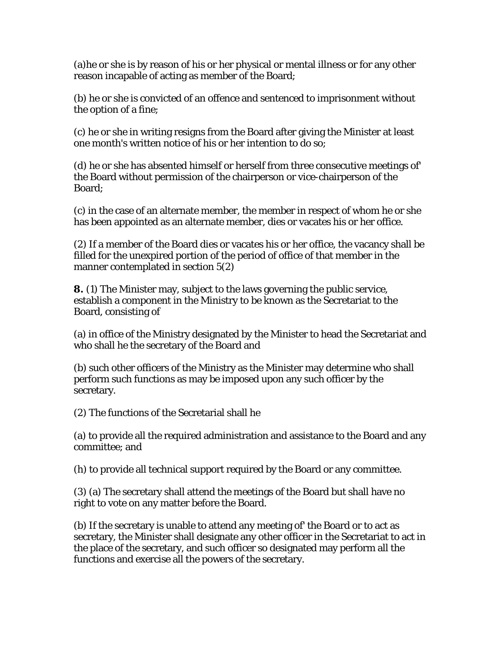(a)he or she is by reason of his or her physical or mental illness or for any other reason incapable of acting as member of the Board;

(b) he or she is convicted of an offence and sentenced to imprisonment without the option of a fine;

(c) he or she in writing resigns from the Board after giving the Minister at least one month's written notice of his or her intention to do so;

(d) he or she has absented himself or herself from three consecutive meetings of' the Board without permission of the chairperson or vice-chairperson of the Board;

(c) in the case of an alternate member, the member in respect of whom he or she has been appointed as an alternate member, dies or vacates his or her office.

(2) If a member of the Board dies or vacates his or her office, the vacancy shall be filled for the unexpired portion of the period of office of that member in the manner contemplated in section 5(2)

**8.** (1) The Minister may, subject to the laws governing the public service, establish a component in the Ministry to be known as the Secretariat to the Board, consisting of

(a) in office of the Ministry designated by the Minister to head the Secretariat and who shall he the secretary of the Board and

(b) such other officers of the Ministry as the Minister may determine who shall perform such functions as may be imposed upon any such officer by the secretary.

(2) The functions of the Secretarial shall he

(a) to provide all the required administration and assistance to the Board and any committee; and

(h) to provide all technical support required by the Board or any committee.

(3) (a) The secretary shall attend the meetings of the Board but shall have no right to vote on any matter before the Board.

(b) If the secretary is unable to attend any meeting of' the Board or to act as secretary, the Minister shall designate any other officer in the Secretariat to act in the place of the secretary, and such officer so designated may perform all the functions and exercise all the powers of the secretary.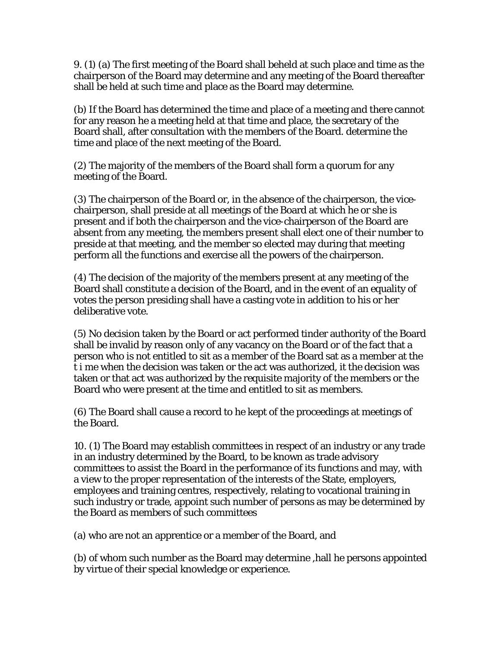9. (1) (a) The first meeting of the Board shall beheld at such place and time as the chairperson of the Board may determine and any meeting of the Board thereafter shall be held at such time and place as the Board may determine.

(b) If the Board has determined the time and place of a meeting and there cannot for any reason he a meeting held at that time and place, the secretary of the Board shall, after consultation with the members of the Board. determine the time and place of the next meeting of the Board.

(2) The majority of the members of the Board shall form a quorum for any meeting of the Board.

(3) The chairperson of the Board or, in the absence of the chairperson, the vicechairperson, shall preside at all meetings of the Board at which he or she is present and if both the chairperson and the vice-chairperson of the Board are absent from any meeting, the members present shall elect one of their number to preside at that meeting, and the member so elected may during that meeting perform all the functions and exercise all the powers of the chairperson.

(4) The decision of the majority of the members present at any meeting of the Board shall constitute a decision of the Board, and in the event of an equality of votes the person presiding shall have a casting vote in addition to his or her deliberative vote.

(5) No decision taken by the Board or act performed tinder authority of the Board shall be invalid by reason only of any vacancy on the Board or of the fact that a person who is not entitled to sit as a member of the Board sat as a member at the t i me when the decision was taken or the act was authorized, it the decision was taken or that act was authorized by the requisite majority of the members or the Board who were present at the time and entitled to sit as members.

(6) The Board shall cause a record to he kept of the proceedings at meetings of the Board.

10. (1) The Board may establish committees in respect of an industry or any trade in an industry determined by the Board, to be known as trade advisory committees to assist the Board in the performance of its functions and may, with a view to the proper representation of the interests of the State, employers, employees and training centres, respectively, relating to vocational training in such industry or trade, appoint such number of persons as may be determined by the Board as members of such committees

(a) who are not an apprentice or a member of the Board, and

(b) of whom such number as the Board may determine ,hall he persons appointed by virtue of their special knowledge or experience.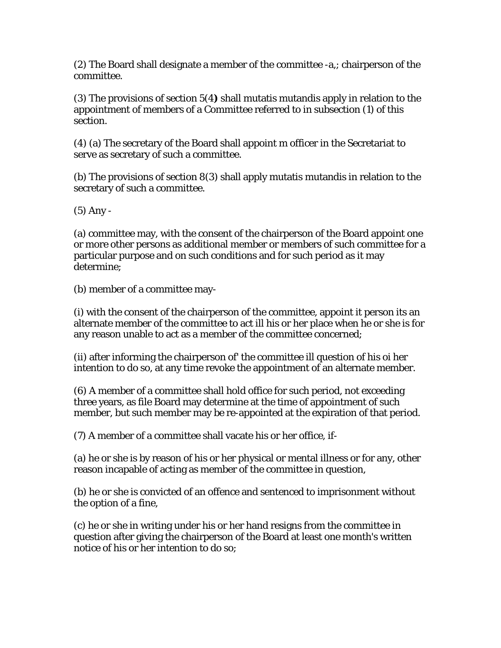(2) The Board shall designate a member of the committee -a,; chairperson of the committee.

(3) The provisions of section 5(4**)** shall mutatis mutandis apply in relation to the appointment of members of a Committee referred to in subsection (1) of this section.

(4) (a) The secretary of the Board shall appoint m officer in the Secretariat to serve as secretary of such a committee.

(b) The provisions of section 8(3) shall apply mutatis mutandis in relation to the secretary of such a committee.

(5) Any -

(a) committee may, with the consent of the chairperson of the Board appoint one or more other persons as additional member or members of such committee for a particular purpose and on such conditions and for such period as it may determine;

(b) member of a committee may-

(i) with the consent of the chairperson of the committee, appoint it person its an alternate member of the committee to act ill his or her place when he or she is for any reason unable to act as a member of the committee concerned;

(ii) after informing the chairperson of' the committee ill question of his oi her intention to do so, at any time revoke the appointment of an alternate member.

(6) A member of a committee shall hold office for such period, not exceeding three years, as file Board may determine at the time of appointment of such member, but such member may be re-appointed at the expiration of that period.

(7) A member of a committee shall vacate his or her office, if-

(a) he or she is by reason of his or her physical or mental illness or for any, other reason incapable of acting as member of the committee in question,

(b) he or she is convicted of an offence and sentenced to imprisonment without the option of a fine,

(c) he or she in writing under his or her hand resigns from the committee in question after giving the chairperson of the Board at least one month's written notice of his or her intention to do so;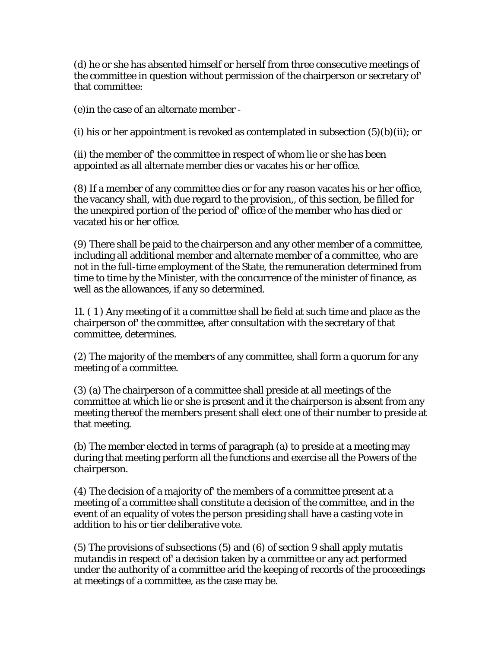(d) he or she has absented himself or herself from three consecutive meetings of the committee in question without permission of the chairperson or secretary of' that committee:

(e)in the case of an alternate member -

(i) his or her appointment is revoked as contemplated in subsection  $(5)(b)(ii)$ ; or

(ii) the member of' the committee in respect of whom lie or she has been appointed as all alternate member dies or vacates his or her office.

(8) If a member of any committee dies or for any reason vacates his or her office, the vacancy shall, with due regard to the provision,, of this section, be filled for the unexpired portion of the period of' office of the member who has died or vacated his or her office.

(9) There shall be paid to the chairperson and any other member of a committee, including all additional member and alternate member of a committee, who are not in the full-time employment of the State, the remuneration determined from time to time by the Minister, with the concurrence of the minister of finance, as well as the allowances, if any so determined.

11. ( 1 ) Any meeting of it a committee shall be field at such time and place as the chairperson of' the committee, after consultation with the secretary of that committee, determines.

(2) The majority of the members of any committee, shall form a quorum for any meeting of a committee.

(3) (a) The chairperson of a committee shall preside at all meetings of the committee at which lie or she is present and it the chairperson is absent from any meeting thereof the members present shall elect one of their number to preside at that meeting.

(b) The member elected in terms of paragraph (a) to preside at a meeting may during that meeting perform all the functions and exercise all the Powers of the chairperson.

(4) The decision of a majority of' the members of a committee present at a meeting of a committee shall constitute a decision of the committee, and in the event of an equality of votes the person presiding shall have a casting vote in addition to his or tier deliberative vote.

(5) The provisions of subsections (5) and (6) of section 9 shall apply *mutatis mutandis* in respect of' a decision taken by a committee or any act performed under the authority of a committee arid the keeping of records of the proceedings at meetings of a committee, as the case may be.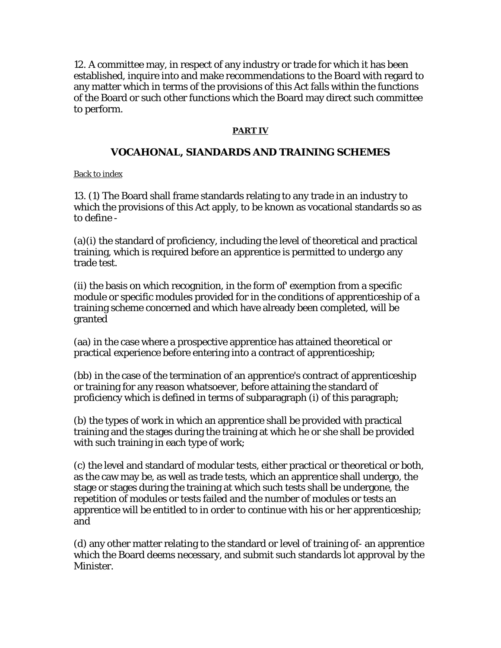12. A committee may, in respect of any industry or trade for which it has been established, inquire into and make recommendations to the Board with regard to any matter which in terms of the provisions of this Act falls within the functions of the Board or such other functions which the Board may direct such committee to perform.

## **PART IV**

# **VOCAHONAL, SIANDARDS AND TRAINING SCHEMES**

Back to index

13. (1) The Board shall frame standards relating to any trade in an industry to which the provisions of this Act apply, to be known as vocational standards so as to define -

(a)(i) the standard of proficiency, including the level of theoretical and practical training, which is required before an apprentice is permitted to undergo any trade test.

(ii) the basis on which recognition, in the form of' exemption from a specific module or specific modules provided for in the conditions of apprenticeship of a training scheme concerned and which have already been completed, will be granted

(aa) in the case where a prospective apprentice has attained theoretical or practical experience before entering into a contract of apprenticeship;

(bb) in the case of the termination of an apprentice's contract of apprenticeship or training for any reason whatsoever, before attaining the standard of proficiency which is defined in terms of subparagraph (i) of this paragraph;

(b) the types of work in which an apprentice shall be provided with practical training and the stages during the training at which he or she shall be provided with such training in each type of work;

(c) the level and standard of modular tests, either practical or theoretical or both, as the caw may be, as well as trade tests, which an apprentice shall undergo, the stage or stages during the training at which such tests shall be undergone, the repetition of modules or tests failed and the number of modules or tests an apprentice will be entitled to in order to continue with his or her apprenticeship; and

(d) any other matter relating to the standard or level of training of- an apprentice which the Board deems necessary, and submit such standards lot approval by the Minister.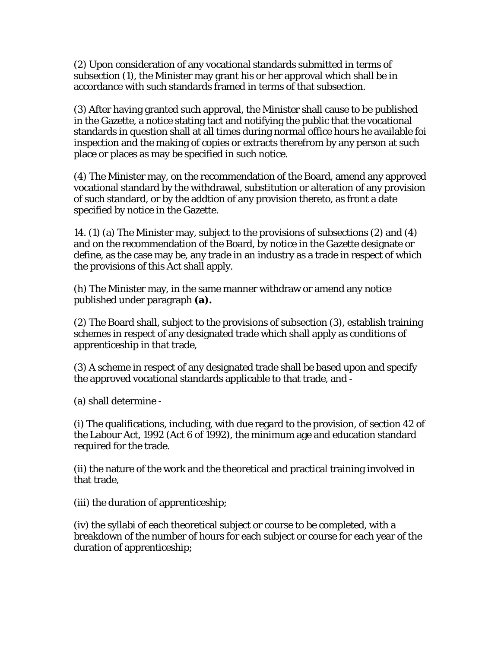(2) Upon consideration of any vocational standards submitted in terms of subsection (1), the Minister may grant his or her approval which shall be in accordance with such standards framed in terms of that subsection.

(3) After having granted such approval, the Minister shall cause to be published in the Gazette, a notice stating tact and notifying the public that the vocational standards in question shall at all times during normal office hours he available foi inspection and the making of copies or extracts therefrom by any person at such place or places as may be specified in such notice.

(4) The Minister may, on the recommendation of the Board, amend any approved vocational standard by the withdrawal, substitution or alteration of any provision of such standard, or by the addtion of any provision thereto, as front a date specified by notice in the Gazette.

14. (1) (a) The Minister may, subject to the provisions of subsections (2) and (4) and on the recommendation of the Board, by notice in the Gazette designate or define, as the case may be, any trade in an industry as a trade in respect of which the provisions of this Act shall apply.

(h) The Minister may, in the same manner withdraw or amend any notice published under paragraph **(a).** 

(2) The Board shall, subject to the provisions of subsection (3), establish training schemes in respect of any designated trade which shall apply as conditions of apprenticeship in that trade,

(3) A scheme in respect of any designated trade shall be based upon and specify the approved vocational standards applicable to that trade, and -

(a) shall determine -

(i) The qualifications, including, with due regard to the provision, of section 42 of the Labour Act, 1992 (Act 6 of 1992), the minimum age and education standard required for the trade.

(ii) the nature of the work and the theoretical and practical training involved in that trade,

(iii) the duration of apprenticeship;

(iv) the syllabi of each theoretical subject or course to be completed, with a breakdown of the number of hours for each subject or course for each year of the duration of apprenticeship;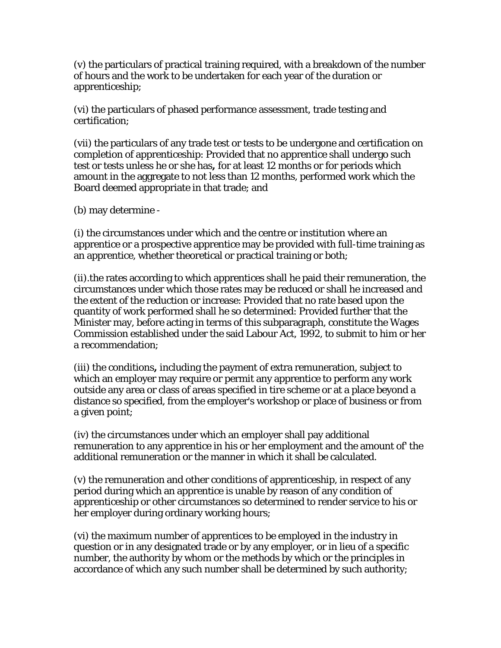(v) the particulars of practical training required, with a breakdown of the number of hours and the work to be undertaken for each year of the duration or apprenticeship;

(vi) the particulars of phased performance assessment, trade testing and certification;

(vii) the particulars of any trade test or tests to be undergone and certification on completion of apprenticeship: Provided that no apprentice shall undergo such test or tests unless he or she has**,** for at least 12 months or for periods which amount in the aggregate to not less than 12 months, performed work which the Board deemed appropriate in that trade; and

(b) may determine -

(i) the circumstances under which and the centre or institution where an apprentice or a prospective apprentice may be provided with full-time training as an apprentice, whether theoretical or practical training or both;

(ii).the rates according to which apprentices shall he paid their remuneration, the circumstances under which those rates may be reduced or shall he increased and the extent of the reduction or increase: Provided that no rate based upon the quantity of work performed shall he so determined: Provided further that the Minister may, before acting in terms of this subparagraph, constitute the Wages Commission established under the said Labour Act, 1992, to submit to him or her a recommendation;

(iii) the conditions**,** including the payment of extra remuneration, subject to which an employer may require or permit any apprentice to perform any work outside any area or class of areas specified in tire scheme or at a place beyond a distance so specified, from the employer's workshop or place of business or from a given point;

(iv) the circumstances under which an employer shall pay additional remuneration to any apprentice in his or her employment and the amount of' the additional remuneration or the manner in which it shall be calculated.

(v) the remuneration and other conditions of apprenticeship, in respect of any period during which an apprentice is unable by reason of any condition of apprenticeship or other circumstances so determined to render service to his or her employer during ordinary working hours;

(vi) the maximum number of apprentices to be employed in the industry in question or in any designated trade or by any employer, or in lieu of a specific number, the authority by whom or the methods by which or the principles in accordance of which any such number shall be determined by such authority;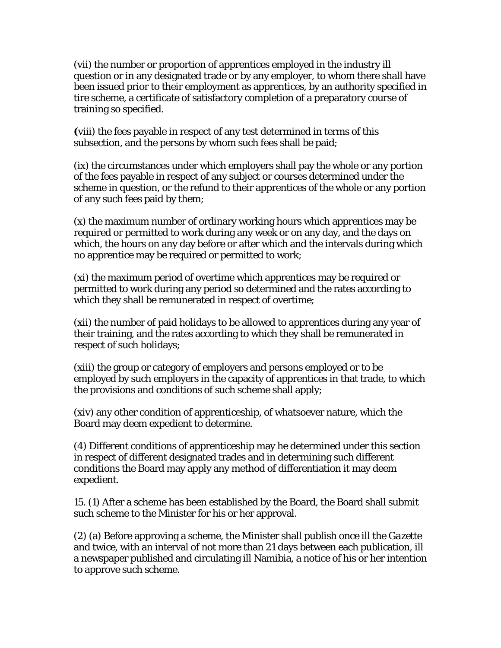(vii) the number or proportion of apprentices employed in the industry ill question or in any designated trade or by any employer, to whom there shall have been issued prior to their employment as apprentices, by an authority specified in tire scheme, a certificate of satisfactory completion of a preparatory course of training so specified.

**(**viii) the fees payable in respect of any test determined in terms of this subsection, and the persons by whom such fees shall be paid;

(ix) the circumstances under which employers shall pay the whole or any portion of the fees payable in respect of any subject or courses determined under the scheme in question, or the refund to their apprentices of the whole or any portion of any such fees paid by them;

(x) the maximum number of ordinary working hours which apprentices may be required or permitted to work during any week or on any day, and the days on which, the hours on any day before or after which and the intervals during which no apprentice may be required or permitted to work;

(xi) the maximum period of overtime which apprentices may be required or permitted to work during any period so determined and the rates according to which they shall be remunerated in respect of overtime;

(xii) the number of paid holidays to be allowed to apprentices during any year of their training, and the rates according to which they shall be remunerated in respect of such holidays;

(xiii) the group or category of employers and persons employed or to be employed by such employers in the capacity of apprentices in that trade, to which the provisions and conditions of such scheme shall apply;

(xiv) any other condition of apprenticeship, of whatsoever nature, which the Board may deem expedient to determine.

(4) Different conditions of apprenticeship may he determined under this section in respect of different designated trades and in determining such different conditions the Board may apply any method of differentiation it may deem expedient.

15. (1) After a scheme has been established by the Board, the Board shall submit such scheme to the Minister for his or her approval.

(2) (a) Before approving a scheme, the Minister shall publish once ill the *Gazette*  and twice, with an interval of not more than 21 days between each publication, ill a newspaper published and circulating ill Namibia, a notice of his or her intention to approve such scheme.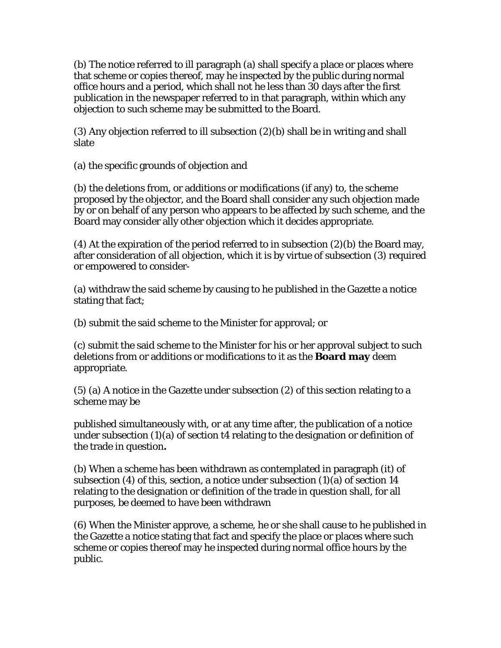(b) The notice referred to ill paragraph (a) shall specify a place or places where that scheme or copies thereof, may he inspected by the public during normal office hours and a period, which shall not he less than 30 days after the first publication in the newspaper referred to in that paragraph, within which any objection to such scheme may be submitted to the Board.

(3) Any objection referred to ill subsection (2)(b) shall be in writing and shall slate

(a) the specific grounds of objection and

(b) the deletions from, or additions or modifications (if any) to, the scheme proposed by the objector, and the Board shall consider any such objection made by or on behalf of any person who appears to be affected by such scheme, and the Board may consider ally other objection which it decides appropriate.

(4) At the expiration of the period referred to in subsection  $(2)(b)$  the Board may, after consideration of all objection, which it is by virtue of subsection (3) required or empowered to consider-

(a) withdraw the said scheme by causing to he published in the Gazette a notice stating that fact;

(b) submit the said scheme to the Minister for approval; or

(c) submit the said scheme to the Minister for his or her approval subject to such deletions from or additions or modifications to it as the **Board may** deem appropriate.

(5) (a) A notice in the *Gazette* under subsection (2) of this section relating to a scheme may be

published simultaneously with, or at any time after, the publication of a notice under subsection (1)(a) of section t4 relating to the designation or definition of the trade in question**.** 

(b) When a scheme has been withdrawn as contemplated in paragraph (it) of subsection (4) of this, section, a notice under subsection  $(1)(a)$  of section 14 relating to the designation or definition of the trade in question shall, for all purposes, be deemed to have been withdrawn

(6) When the Minister approve, a scheme, he or she shall cause to he published in the Gazette a notice stating that fact and specify the place or places where such scheme or copies thereof may he inspected during normal office hours by the public.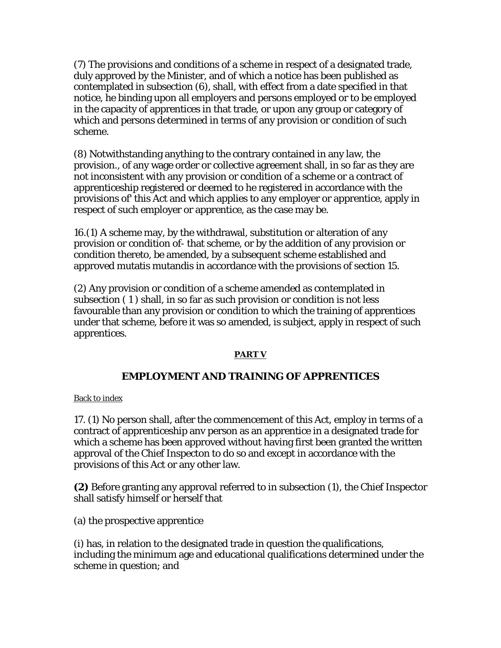(7) The provisions and conditions of a scheme in respect of a designated trade, duly approved by the Minister, and of which a notice has been published as contemplated in subsection (6), shall, with effect from a date specified in that notice, he binding upon all employers and persons employed or to be employed in the capacity of apprentices in that trade, or upon any group or category of which and persons determined in terms of any provision or condition of such scheme.

(8) Notwithstanding anything to the contrary contained in any law, the provision., of any wage order or collective agreement shall, in so far as they are not inconsistent with any provision or condition of a scheme or a contract of apprenticeship registered or deemed to he registered in accordance with the provisions of' this Act and which applies to any employer or apprentice, apply in respect of such employer or apprentice, as the case may be.

16.(1) A scheme may, by the withdrawal, substitution or alteration of any provision or condition of- that scheme, or by the addition of any provision or condition thereto, be amended, by a subsequent scheme established and approved mutatis mutandis in accordance with the provisions of section 15.

(2) Any provision or condition of a scheme amended as contemplated in subsection ( 1 ) shall, in so far as such provision or condition is not less favourable than any provision or condition to which the training of apprentices under that scheme, before it was so amended, is subject, apply in respect of such apprentices.

# **PART V**

# **EMPLOYMENT AND TRAINING OF APPRENTICES**

Back to index

17. (1) No person shall, after the commencement of this Act, employ in terms of a contract of apprenticeship anv person as an apprentice in a designated trade for which a scheme has been approved without having first been granted the written approval of the Chief Inspecton to do so and except in accordance with the provisions of this Act or any other law.

**(2)** Before granting any approval referred to in subsection (1), the Chief Inspector shall satisfy himself or herself that

(a) the prospective apprentice

(i) has, in relation to the designated trade in question the qualifications, including the minimum age and educational qualifications determined under the scheme in question; and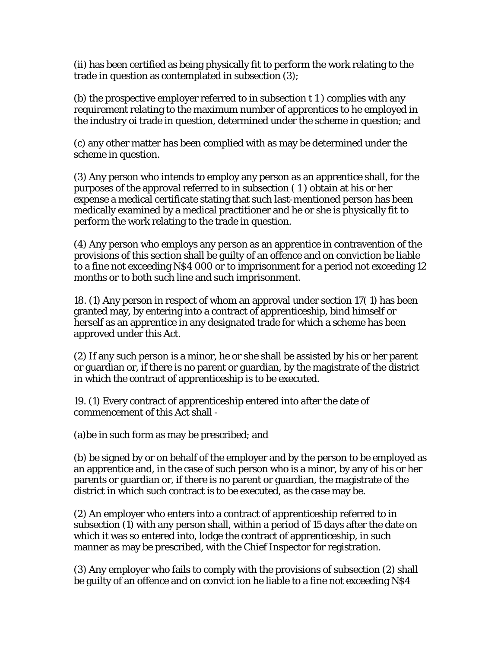(ii) has been certified as being physically fit to perform the work relating to the trade in question as contemplated in subsection (3);

(b) the prospective employer referred to in subsection t 1 ) complies with any requirement relating to the maximum number of apprentices to he employed in the industry oi trade in question, determined under the scheme in question; and

(c) any other matter has been complied with as may be determined under the scheme in question.

(3) Any person who intends to employ any person as an apprentice shall, for the purposes of the approval referred to in subsection ( 1 ) obtain at his or her expense a medical certificate stating that such last-mentioned person has been medically examined by a medical practitioner and he or she is physically fit to perform the work relating to the trade in question.

(4) Any person who employs any person as an apprentice in contravention of the provisions of this section shall be guilty of an offence and on conviction be liable to a fine not exceeding N\$4 000 or to imprisonment for a period not exceeding 12 months or to both such line and such imprisonment.

18. (1) Any person in respect of whom an approval under section 17( 1) has been granted may, by entering into a contract of apprenticeship, bind himself or herself as an apprentice in any designated trade for which a scheme has been approved under this Act.

(2) If any such person is a minor, he or she shall be assisted by his or her parent or guardian or, if there is no parent or guardian, by the magistrate of the district in which the contract of apprenticeship is to be executed.

19. (1) Every contract of apprenticeship entered into after the date of commencement of this Act shall -

(a)be in such form as may be prescribed; and

(b) be signed by or on behalf of the employer and by the person to be employed as an apprentice and, in the case of such person who is a minor, by any of his or her parents or guardian or, if there is no parent or guardian, the magistrate of the district in which such contract is to be executed, as the case may be.

(2) An employer who enters into a contract of apprenticeship referred to in subsection (1) with any person shall, within a period of 15 days after the date on which it was so entered into, lodge the contract of apprenticeship, in such manner as may be prescribed, with the Chief Inspector for registration.

(3) Any employer who fails to comply with the provisions of subsection (2) shall be guilty of an offence and on convict ion he liable to a fine not exceeding N\$4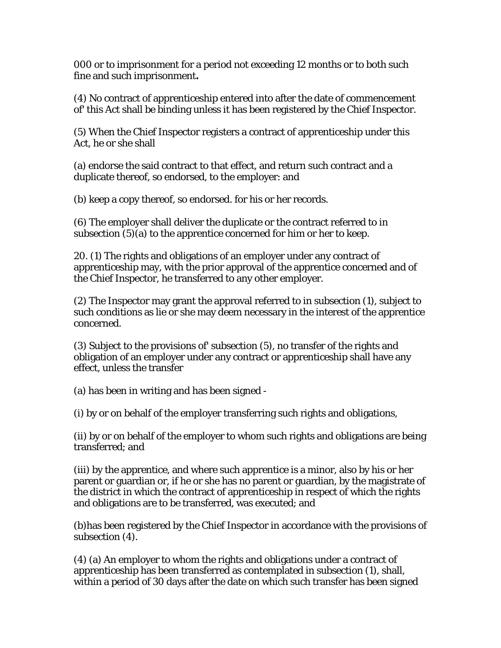000 or to imprisonment for a period not exceeding 12 months or to both such fine and such imprisonment**.** 

(4) No contract of apprenticeship entered into after the date of commencement of' this Act shall be binding unless it has been registered by the Chief Inspector.

(5) When the Chief Inspector registers a contract of apprenticeship under this Act, he or she shall

(a) endorse the said contract to that effect, and return such contract and a duplicate thereof, so endorsed, to the employer: and

(b) keep a copy thereof, so endorsed. for his or her records.

(6) The employer shall deliver the duplicate or the contract referred to in subsection (5)(a) to the apprentice concerned for him or her to keep.

20. (1) The rights and obligations of an employer under any contract of apprenticeship may, with the prior approval of the apprentice concerned and of the Chief Inspector, he transferred to any other employer.

(2) The Inspector may grant the approval referred to in subsection (1), subject to such conditions as lie or she may deem necessary in the interest of the apprentice concerned.

(3) Subject to the provisions of' subsection (5), no transfer of the rights and obligation of an employer under any contract or apprenticeship shall have any effect, unless the transfer

(a) has been in writing and has been signed -

(i) by or on behalf of the employer transferring such rights and obligations,

(ii) by or on behalf of the employer to whom such rights and obligations are being transferred; and

(iii) by the apprentice, and where such apprentice is a minor, also by his or her parent or guardian or, if he or she has no parent or guardian, by the magistrate of the district in which the contract of apprenticeship in respect of which the rights and obligations are to be transferred, was executed; and

(b)has been registered by the Chief Inspector in accordance with the provisions of subsection (4).

(4) (a) An employer to whom the rights and obligations under a contract of apprenticeship has been transferred as contemplated in subsection (1), shall, within a period of 30 days after the date on which such transfer has been signed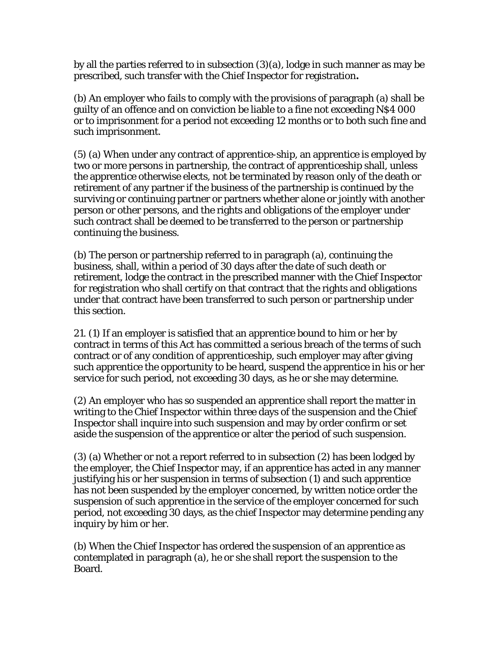by all the parties referred to in subsection (3)(a), lodge in such manner as may be prescribed, such transfer with the Chief Inspector for registration**.** 

(b) An employer who fails to comply with the provisions of paragraph (a) shall be guilty of an offence and on conviction be liable to a fine not exceeding N\$4 000 or to imprisonment for a period not exceeding 12 months or to both such fine and such imprisonment.

(5) (a) When under any contract of apprentice-ship, an apprentice is employed by two or more persons in partnership, the contract of apprenticeship shall, unless the apprentice otherwise elects, not be terminated by reason only of the death or retirement of any partner if the business of the partnership is continued by the surviving or continuing partner or partners whether alone or jointly with another person or other persons, and the rights and obligations of the employer under such contract shall be deemed to be transferred to the person or partnership continuing the business.

(b) The person or partnership referred to in paragraph (a), continuing the business, shall, within a period of 30 days after the date of such death or retirement, lodge the contract in the prescribed manner with the Chief Inspector for registration who shall certify on that contract that the rights and obligations under that contract have been transferred to such person or partnership under this section.

21. (1) If an employer is satisfied that an apprentice bound to him or her by contract in terms of this Act has committed a serious breach of the terms of such contract or of any condition of apprenticeship, such employer may after giving such apprentice the opportunity to be heard, suspend the apprentice in his or her service for such period, not exceeding 30 days, as he or she may determine.

(2) An employer who has so suspended an apprentice shall report the matter in writing to the Chief Inspector within three days of the suspension and the Chief Inspector shall inquire into such suspension and may by order confirm or set aside the suspension of the apprentice or alter the period of such suspension.

(3) (a) Whether or not a report referred to in subsection (2) has been lodged by the employer, the Chief Inspector may, if an apprentice has acted in any manner justifying his or her suspension in terms of subsection (1) and such apprentice has not been suspended by the employer concerned, by written notice order the suspension of such apprentice in the service of the employer concerned for such period, not exceeding 30 days, as the chief Inspector may determine pending any inquiry by him or her.

(b) When the Chief Inspector has ordered the suspension of an apprentice as contemplated in paragraph (a), he or she shall report the suspension to the Board.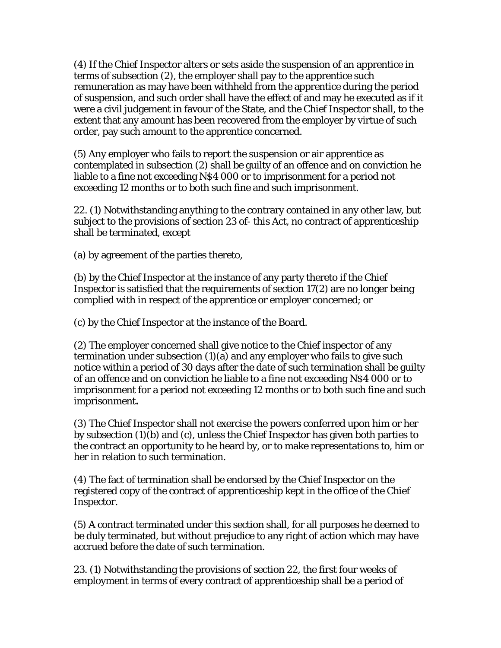(4) If the Chief Inspector alters or sets aside the suspension of an apprentice in terms of subsection (2), the employer shall pay to the apprentice such remuneration as may have been withheld from the apprentice during the period of suspension, and such order shall have the effect of and may he executed as if it were a civil judgement in favour of the State, and the Chief Inspector shall, to the extent that any amount has been recovered from the employer by virtue of such order, pay such amount to the apprentice concerned.

(5) Any employer who fails to report the suspension or air apprentice as contemplated in subsection (2) shall be guilty of an offence and on conviction he liable to a fine not exceeding N\$4 000 or to imprisonment for a period not exceeding 12 months or to both such fine and such imprisonment.

22. (1) Notwithstanding anything to the contrary contained in any other law, but subject to the provisions of section 23 of- this Act, no contract of apprenticeship shall be terminated, except

(a) by agreement of the parties thereto,

(b) by the Chief Inspector at the instance of any party thereto if the Chief Inspector is satisfied that the requirements of section 17(2) are no longer being complied with in respect of the apprentice or employer concerned; or

(c) by the Chief Inspector at the instance of the Board.

(2) The employer concerned shall give notice to the Chief inspector of any termination under subsection (1)(a) and any employer who fails to give such notice within a period of 30 days after the date of such termination shall be guilty of an offence and on conviction he liable to a fine not exceeding N\$4 000 or to imprisonment for a period not exceeding 12 months or to both such fine and such imprisonment**.** 

(3) The Chief Inspector shall not exercise the powers conferred upon him or her by subsection (1)(b) and (c), unless the Chief Inspector has given both parties to the contract an opportunity to he heard by, or to make representations to, him or her in relation to such termination.

(4) The fact of termination shall be endorsed by the Chief Inspector on the registered copy of the contract of apprenticeship kept in the office of the Chief Inspector.

(5) A contract terminated under this section shall, for all purposes he deemed to be duly terminated, but without prejudice to any right of action which may have accrued before the date of such termination.

23. (1) Notwithstanding the provisions of section 22, the first four weeks of employment in terms of every contract of apprenticeship shall be a period of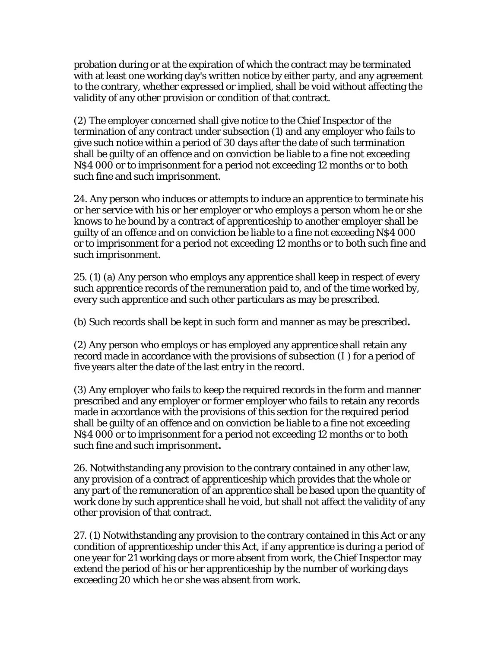probation during or at the expiration of which the contract may be terminated with at least one working day's written notice by either party, and any agreement to the contrary, whether expressed or implied, shall be void without affecting the validity of any other provision or condition of that contract.

(2) The employer concerned shall give notice to the Chief Inspector of the termination of any contract under subsection (1) and any employer who fails to give such notice within a period of 30 days after the date of such termination shall be guilty of an offence and on conviction be liable to a fine not exceeding N\$4 000 or to imprisonment for a period not exceeding 12 months or to both such fine and such imprisonment.

24. Any person who induces or attempts to induce an apprentice to terminate his or her service with his or her employer or who employs a person whom he or she knows to he bound by a contract of apprenticeship to another employer shall be guilty of an offence and on conviction be liable to a fine not exceeding N\$4 000 or to imprisonment for a period not exceeding 12 months or to both such fine and such imprisonment.

25. (1) (a) Any person who employs any apprentice shall keep in respect of every such apprentice records of the remuneration paid to, and of the time worked by, every such apprentice and such other particulars as may be prescribed.

(b) Such records shall be kept in such form and manner as may be prescribed**.** 

(2) Any person who employs or has employed any apprentice shall retain any record made in accordance with the provisions of subsection (I ) for a period of five years alter the date of the last entry in the record.

(3) Any employer who fails to keep the required records in the form and manner prescribed and any employer or former employer who fails to retain any records made in accordance with the provisions of this section for the required period shall be guilty of an offence and on conviction be liable to a fine not exceeding N\$4 000 or to imprisonment for a period not exceeding 12 months or to both such fine and such imprisonment**.** 

26. Notwithstanding any provision to the contrary contained in any other law, any provision of a contract of apprenticeship which provides that the whole or any part of the remuneration of an apprentice shall be based upon the quantity of work done by such apprentice shall he void, but shall not affect the validity of any other provision of that contract.

27. (1) Notwithstanding any provision to the contrary contained in this Act or any condition of apprenticeship under this Act, if any apprentice is during a period of one year for 21 working days or more absent from work, the Chief Inspector may extend the period of his or her apprenticeship by the number of working days exceeding 20 which he or she was absent from work.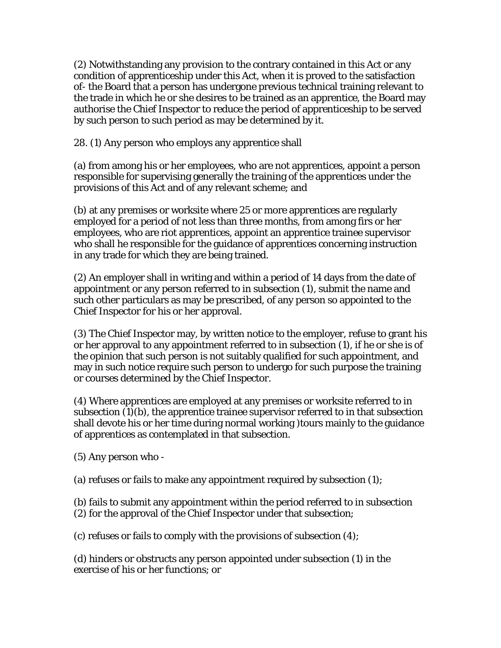(2) Notwithstanding any provision to the contrary contained in this Act or any condition of apprenticeship under this Act, when it is proved to the satisfaction of- the Board that a person has undergone previous technical training relevant to the trade in which he or she desires to be trained as an apprentice, the Board may authorise the Chief Inspector to reduce the period of apprenticeship to be served by such person to such period as may be determined by it.

28. (1) Any person who employs any apprentice shall

(a) from among his or her employees, who are not apprentices, appoint a person responsible for supervising generally the training of the apprentices under the provisions of this Act and of any relevant scheme; and

(b) at any premises or worksite where 25 or more apprentices are regularly employed for a period of not less than three months, from among firs or her employees, who are riot apprentices, appoint an apprentice trainee supervisor who shall he responsible for the guidance of apprentices concerning instruction in any trade for which they are being trained.

(2) An employer shall in writing and within a period of 14 days from the date of appointment or any person referred to in subsection (1), submit the name and such other particulars as may be prescribed, of any person so appointed to the Chief Inspector for his or her approval.

(3) The Chief Inspector may, by written notice to the employer, refuse to grant his or her approval to any appointment referred to in subsection (1), if he or she is of the opinion that such person is not suitably qualified for such appointment, and may in such notice require such person to undergo for such purpose the training or courses determined by the Chief Inspector.

(4) Where apprentices are employed at any premises or worksite referred to in subsection (1)(b), the apprentice trainee supervisor referred to in that subsection shall devote his or her time during normal working )tours mainly to the guidance of apprentices as contemplated in that subsection.

(5) Any person who -

(a) refuses or fails to make any appointment required by subsection (1);

(b) fails to submit any appointment within the period referred to in subsection

(2) for the approval of the Chief Inspector under that subsection;

(c) refuses or fails to comply with the provisions of subsection (4);

(d) hinders or obstructs any person appointed under subsection (1) in the exercise of his or her functions; or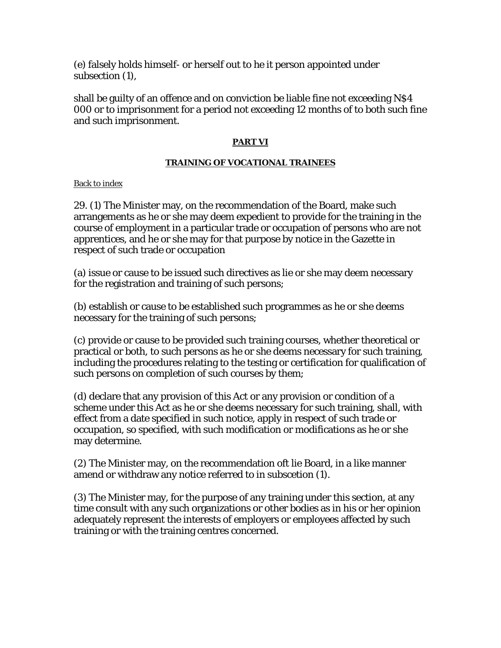(e) falsely holds himself- or herself out to he it person appointed under subsection (1),

shall be guilty of an offence and on conviction be liable fine not exceeding N\$4 000 or to imprisonment for a period not exceeding 12 months of to both such fine and such imprisonment.

#### **PART VI**

#### **TRAINING OF VOCATIONAL TRAINEES**

Back to index

29. (1) The Minister may, on the recommendation of the Board, make such arrangements as he or she may deem expedient to provide for the training in the course of employment in a particular trade or occupation of persons who are not apprentices, and he or she may for that purpose by notice in the Gazette in respect of such trade or occupation

(a) issue or cause to be issued such directives as lie or she may deem necessary for the registration and training of such persons;

(b) establish or cause to be established such programmes as he or she deems necessary for the training of such persons;

(c) provide or cause to be provided such training courses, whether theoretical or practical or both, to such persons as he or she deems necessary for such training, including the procedures relating to the testing or certification for qualification of such persons on completion of such courses by them;

(d) declare that any provision of this Act or any provision or condition of a scheme under this Act as he or she deems necessary for such training, shall, with effect from a date specified in such notice, apply in respect of such trade or occupation, so specified, with such modification or modifications as he or she may determine.

(2) The Minister may, on the recommendation oft lie Board, in a like manner amend or withdraw any notice referred to in subscetion (1).

(3) The Minister may, for the purpose of any training under this section, at any time consult with any such organizations or other bodies as in his or her opinion adequately represent the interests of employers or employees affected by such training or with the training centres concerned.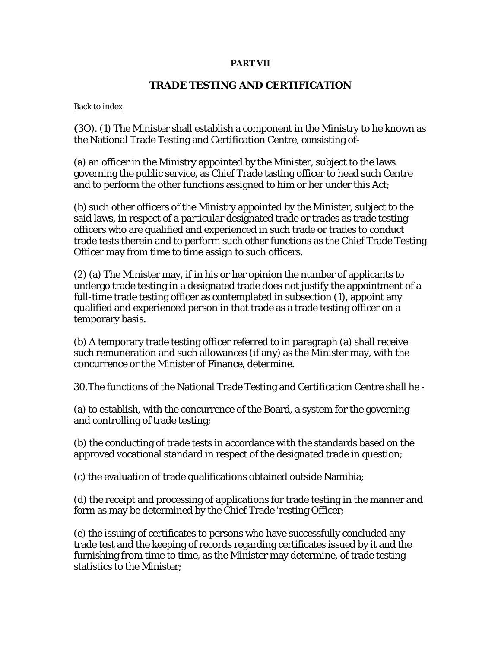#### **PART VII**

# **TRADE TESTING AND CERTIFICATION**

Back to index

**(**3O). (1) The Minister shall establish a component in the Ministry to he known as the National Trade Testing and Certification Centre, consisting of-

(a) an officer in the Ministry appointed by the Minister, subject to the laws governing the public service, as Chief Trade tasting officer to head such Centre and to perform the other functions assigned to him or her under this Act;

(b) such other officers of the Ministry appointed by the Minister, subject to the said laws, in respect of a particular designated trade or trades as trade testing officers who are qualified and experienced in such trade or trades to conduct trade tests therein and to perform such other functions as the Chief Trade Testing Officer may from time to time assign to such officers.

(2) (a) The Minister may, if in his or her opinion the number of applicants to undergo trade testing in a designated trade does not justify the appointment of a full-time trade testing officer as contemplated in subsection (1), appoint any qualified and experienced person in that trade as a trade testing officer on a temporary basis.

(b) A temporary trade testing officer referred to in paragraph (a) shall receive such remuneration and such allowances (if any) as the Minister may, with the concurrence or the Minister of Finance, determine.

30.The functions of the National Trade Testing and Certification Centre shall he -

(a) to establish, with the concurrence of the Board, a system for the governing and controlling of trade testing;

(b) the conducting of trade tests in accordance with the standards based on the approved vocational standard in respect of the designated trade in question;

(c) the evaluation of trade qualifications obtained outside Namibia;

(d) the receipt and processing of applications for trade testing in the manner and form as may be determined by the Chief Trade 'resting Officer;

(e) the issuing of certificates to persons who have successfully concluded any trade test and the keeping of records regarding certificates issued by it and the furnishing from time to time, as the Minister may determine, of trade testing statistics to the Minister;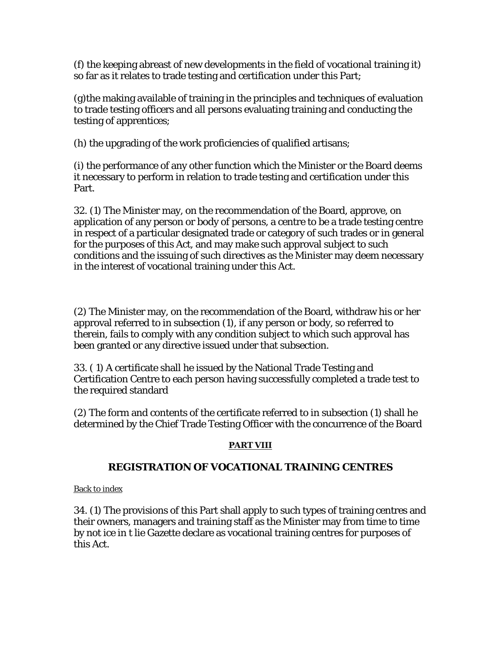(f) the keeping abreast of new developments in the field of vocational training it) so far as it relates to trade testing and certification under this Part;

(g)the making available of training in the principles and techniques of evaluation to trade testing officers and all persons evaluating training and conducting the testing of apprentices;

(h) the upgrading of the work proficiencies of qualified artisans;

(i) the performance of any other function which the Minister or the Board deems it necessary to perform in relation to trade testing and certification under this Part.

32. (1) The Minister may, on the recommendation of the Board, approve, on application of any person or body of persons, a centre to be a trade testing centre in respect of a particular designated trade or category of such trades or in general for the purposes of this Act, and may make such approval subject to such conditions and the issuing of such directives as the Minister may deem necessary in the interest of vocational training under this Act.

(2) The Minister may, on the recommendation of the Board, withdraw his or her approval referred to in subsection (1), if any person or body, so referred to therein, fails to comply with any condition subject to which such approval has been granted or any directive issued under that subsection.

33. ( 1) A certificate shall he issued by the National Trade Testing and Certification Centre to each person having successfully completed a trade test to the required standard

(2) The form and contents of the certificate referred to in subsection (1) shall he determined by the Chief Trade Testing Officer with the concurrence of the Board

# **PART VIII**

# **REGISTRATION OF VOCATIONAL TRAINING CENTRES**

Back to index

34. (1) The provisions of this Part shall apply to such types of training centres and their owners, managers and training staff as the Minister may from time to time by not ice in t lie Gazette declare as vocational training centres for purposes of this Act.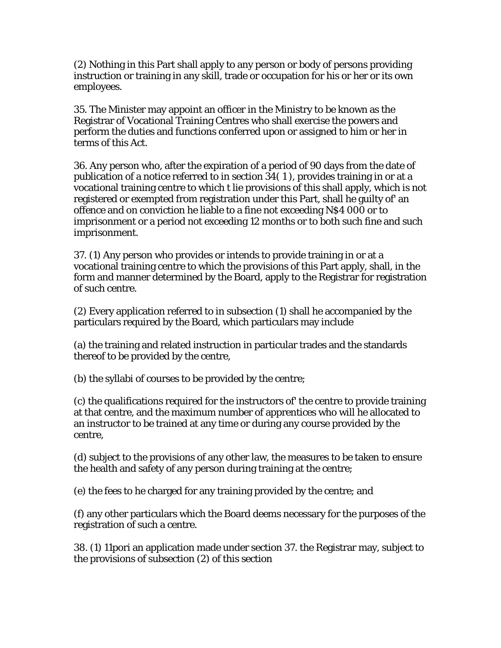(2) Nothing in this Part shall apply to any person or body of persons providing instruction or training in any skill, trade or occupation for his or her or its own employees.

35. The Minister may appoint an officer in the Ministry to be known as the Registrar of Vocational Training Centres who shall exercise the powers and perform the duties and functions conferred upon or assigned to him or her in terms of this Act.

36. Any person who, after the expiration of a period of 90 days from the date of publication of a notice referred to in section 34( 1 ), provides training in or at a vocational training centre to which t lie provisions of this shall apply, which is not registered or exempted from registration under this Part, shall he guilty of' an offence and on conviction he liable to a fine not exceeding N\$4 000 or to imprisonment or a period not exceeding 12 months or to both such fine and such imprisonment.

37. (1) Any person who provides or intends to provide training in or at a vocational training centre to which the provisions of this Part apply, shall, in the form and manner determined by the Board, apply to the Registrar for registration of such centre.

(2) Every application referred to in subsection (1) shall he accompanied by the particulars required by the Board, which particulars may include

(a) the training and related instruction in particular trades and the standards thereof to be provided by the centre,

(b) the syllabi of courses to be provided by the centre;

(c) the qualifications required for the instructors of' the centre to provide training at that centre, and the maximum number of apprentices who will he allocated to an instructor to be trained at any time or during any course provided by the centre,

(d) subject to the provisions of any other law, the measures to be taken to ensure the health and safety of any person during training at the centre;

(e) the fees to he charged for any training provided by the centre; and

(f) any other particulars which the Board deems necessary for the purposes of the registration of such a centre.

38. (1) 11pori an application made under section 37. the Registrar may, subject to the provisions of subsection (2) of this section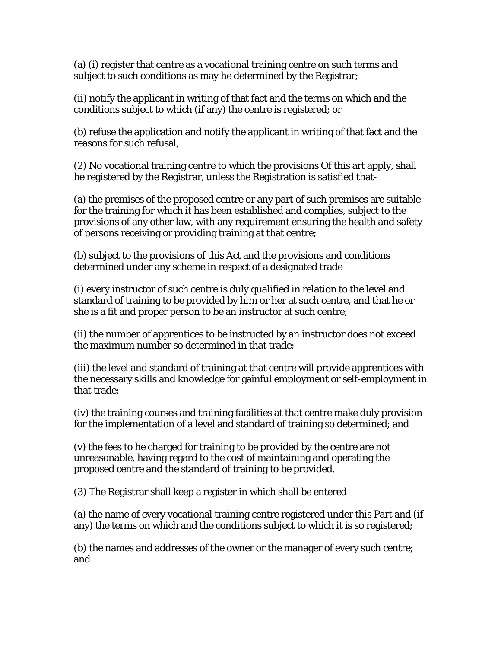(a) (i) register that centre as a vocational training centre on such terms and subject to such conditions as may he determined by the Registrar;

(ii) notify the applicant in writing of that fact and the terms on which and the conditions subject to which (if any) the centre is registered; or

(b) refuse the application and notify the applicant in writing of that fact and the reasons for such refusal,

(2) No vocational training centre to which the provisions Of this art apply, shall he registered by the Registrar, unless the Registration is satisfied that-

(a) the premises of the proposed centre or any part of such premises are suitable for the training for which it has been established and complies, subject to the provisions of any other law, with any requirement ensuring the health and safety of persons receiving or providing training at that centre;

(b) subject to the provisions of this Act and the provisions and conditions determined under any scheme in respect of a designated trade

(i) every instructor of such centre is duly qualified in relation to the level and standard of training to be provided by him or her at such centre, and that he or she is a fit and proper person to be an instructor at such centre;

(ii) the number of apprentices to be instructed by an instructor does not exceed the maximum number so determined in that trade;

(iii) the level and standard of training at that centre will provide apprentices with the necessary skills and knowledge for gainful employment or self-employment in that trade;

(iv) the training courses and training facilities at that centre make duly provision for the implementation of a level and standard of training so determined; and

(v) the fees to he charged for training to be provided by the centre are not unreasonable, having regard to the cost of maintaining and operating the proposed centre and the standard of training to be provided.

(3) The Registrar shall keep a register in which shall be entered

(a) the name of every vocational training centre registered under this Part and (if any) the terms on which and the conditions subject to which it is so registered;

(b) the names and addresses of the owner or the manager of every such centre; and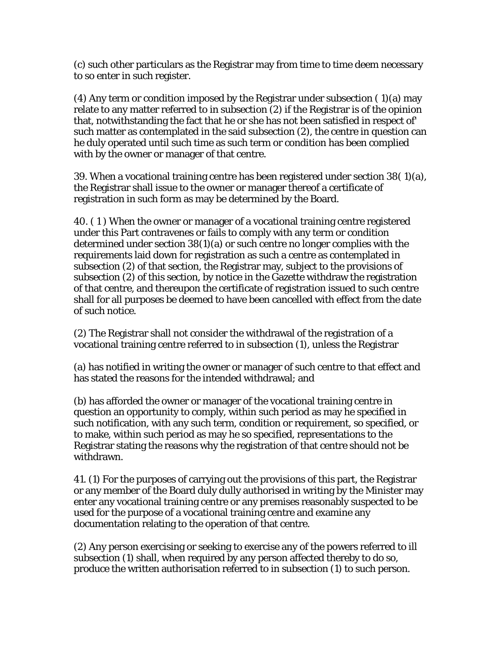(c) such other particulars as the Registrar may from time to time deem necessary to so enter in such register.

(4) Any term or condition imposed by the Registrar under subsection ( 1)(a) may relate to any matter referred to in subsection (2) if the Registrar is of the opinion that, notwithstanding the fact that he or she has not been satisfied in respect of' such matter as contemplated in the said subsection (2), the centre in question can he duly operated until such time as such term or condition has been complied with by the owner or manager of that centre.

39. When a vocational training centre has been registered under section 38( 1)(a), the Registrar shall issue to the owner or manager thereof a certificate of registration in such form as may be determined by the Board.

40. ( 1 ) When the owner or manager of a vocational training centre registered under this Part contravenes or fails to comply with any term or condition determined under section 38(1)(a) or such centre no longer complies with the requirements laid down for registration as such a centre as contemplated in subsection (2) of that section, the Registrar may, subject to the provisions of subsection (2) of this section, by notice in the Gazette withdraw the registration of that centre, and thereupon the certificate of registration issued to such centre shall for all purposes be deemed to have been cancelled with effect from the date of such notice.

(2) The Registrar shall not consider the withdrawal of the registration of a vocational training centre referred to in subsection (1), unless the Registrar

(a) has notified in writing the owner or manager of such centre to that effect and has stated the reasons for the intended withdrawal; and

(b) has afforded the owner or manager of the vocational training centre in question an opportunity to comply, within such period as may he specified in such notification, with any such term, condition or requirement, so specified, or to make, within such period as may he so specified, representations to the Registrar stating the reasons why the registration of that centre should not be withdrawn.

41. (1) For the purposes of carrying out the provisions of this part, the Registrar or any member of the Board duly dully authorised in writing by the Minister may enter any vocational training centre or any premises reasonably suspected to be used for the purpose of a vocational training centre and examine any documentation relating to the operation of that centre.

(2) Any person exercising or seeking to exercise any of the powers referred to ill subsection (1) shall, when required by any person affected thereby to do so, produce the written authorisation referred to in subsection (1) to such person.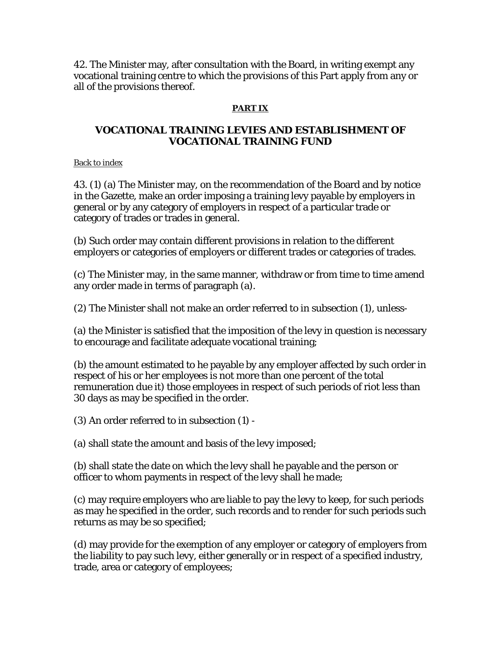42. The Minister may, after consultation with the Board, in writing exempt any vocational training centre to which the provisions of this Part apply from any or all of the provisions thereof.

# **PART IX**

# **VOCATIONAL TRAINING LEVIES AND ESTABLISHMENT OF VOCATIONAL TRAINING FUND**

#### Back to index

43. (1) (a) The Minister may, on the recommendation of the Board and by notice in the Gazette, make an order imposing a training levy payable by employers in general or by any category of employers in respect of a particular trade or category of trades or trades in general.

(b) Such order may contain different provisions in relation to the different employers or categories of employers or different trades or categories of trades.

(c) The Minister may, in the same manner, withdraw or from time to time amend any order made in terms of paragraph (a).

(2) The Minister shall not make an order referred to in subsection (1), unless-

(a) the Minister is satisfied that the imposition of the levy in question is necessary to encourage and facilitate adequate vocational training;

(b) the amount estimated to he payable by any employer affected by such order in respect of his or her employees is not more than one percent of the total remuneration due it) those employees in respect of such periods of riot less than 30 days as may be specified in the order.

(3) An order referred to in subsection (1) -

(a) shall state the amount and basis of the levy imposed;

(b) shall state the date on which the levy shall he payable and the person or officer to whom payments in respect of the levy shall he made;

(c) may require employers who are liable to pay the levy to keep, for such periods as may he specified in the order, such records and to render for such periods such returns as may be so specified;

(d) may provide for the exemption of any employer or category of employers from the liability to pay such levy, either generally or in respect of a specified industry, trade, area or category of employees;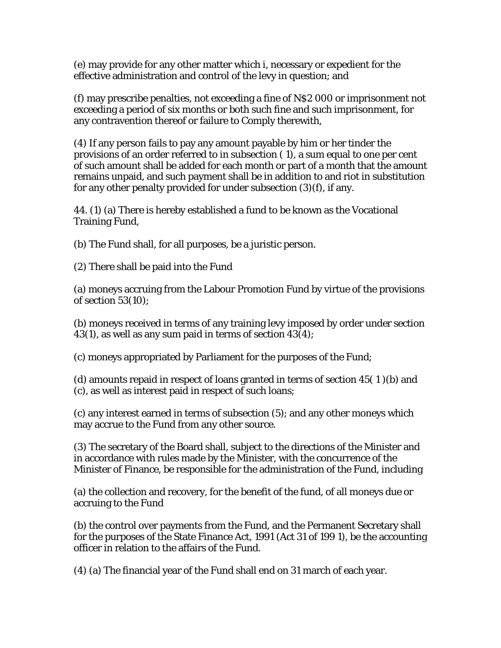(e) may provide for any other matter which i, necessary or expedient for the effective administration and control of the levy in question; and

(f) may prescribe penalties, not exceeding a fine of N\$2 000 or imprisonment not exceeding a period of six months or both such fine and such imprisonment, for any contravention thereof or failure to Comply therewith,

(4) If any person fails to pay any amount payable by him or her tinder the provisions of an order referred to in subsection ( 1), a sum equal to one per cent of such amount shall be added for each month or part of a month that the amount remains unpaid, and such payment shall be in addition to and riot in substitution for any other penalty provided for under subsection (3)(f), if any.

44. (1) (a) There is hereby established a fund to be known as the Vocational Training Fund,

(b) The Fund shall, for all purposes, be a juristic person.

(2) There shall be paid into the Fund

(a) moneys accruing from the Labour Promotion Fund by virtue of the provisions of section 53(10);

(b) moneys received in terms of any training levy imposed by order under section 43(1), as well as any sum paid in terms of section 43(4);

(c) moneys appropriated by Parliament for the purposes of the Fund;

(d) amounts repaid in respect of loans granted in terms of section  $45(1)(b)$  and (c), as well as interest paid in respect of such loans;

(c) any interest earned in terms of subsection (5); and any other moneys which may accrue to the Fund from any other source.

(3) The secretary of the Board shall, subject to the directions of the Minister and in accordance with rules made by the Minister, with the concurrence of the Minister of Finance, be responsible for the administration of the Fund, including

(a) the collection and recovery, for the benefit of the fund, of all moneys due or accruing to the Fund

(b) the control over payments from the Fund, and the Permanent Secretary shall for the purposes of the State Finance Act, 1991 (Act 31 of 199 1), be the accounting officer in relation to the affairs of the Fund.

(4) (a) The financial year of the Fund shall end on 31 march of each year.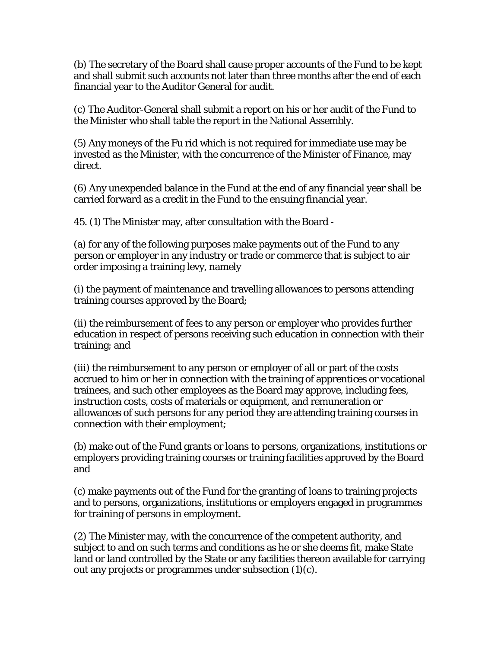(b) The secretary of the Board shall cause proper accounts of the Fund to be kept and shall submit such accounts not later than three months after the end of each financial year to the Auditor General for audit.

(c) The Auditor-General shall submit a report on his or her audit of the Fund to the Minister who shall table the report in the National Assembly.

(5) Any moneys of the Fu rid which is not required for immediate use may be invested as the Minister, with the concurrence of the Minister of Finance, may direct.

(6) Any unexpended balance in the Fund at the end of any financial year shall be carried forward as a credit in the Fund to the ensuing financial year.

45. (1) The Minister may, after consultation with the Board -

(a) for any of the following purposes make payments out of the Fund to any person or employer in any industry or trade or commerce that is subject to air order imposing a training levy, namely

(i) the payment of maintenance and travelling allowances to persons attending training courses approved by the Board;

(ii) the reimbursement of fees to any person or employer who provides further education in respect of persons receiving such education in connection with their training; and

(iii) the reimbursement to any person or employer of all or part of the costs accrued to him or her in connection with the training of apprentices or vocational trainees, and such other employees as the Board may approve, including fees, instruction costs, costs of materials or equipment, and remuneration or allowances of such persons for any period they are attending training courses in connection with their employment;

(b) make out of the Fund grants or loans to persons, organizations, institutions or employers providing training courses or training facilities approved by the Board and

(c) make payments out of the Fund for the granting of loans to training projects and to persons, organizations, institutions or employers engaged in programmes for training of persons in employment.

(2) The Minister may, with the concurrence of the competent authority, and subject to and on such terms and conditions as he or she deems fit, make State land or land controlled by the State or any facilities thereon available for carrying out any projects or programmes under subsection (1)(c).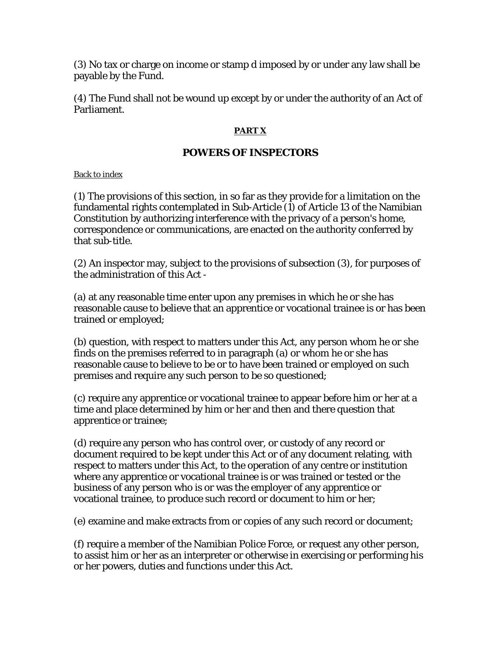(3) No tax or charge on income or stamp d imposed by or under any law shall be payable by the Fund.

(4) The Fund shall not be wound up except by or under the authority of an Act of Parliament.

# **PART X**

# **POWERS OF INSPECTORS**

### Back to index

(1) The provisions of this section, in so far as they provide for a limitation on the fundamental rights contemplated in Sub-Article (1) of Article 13 of the Namibian Constitution by authorizing interference with the privacy of a person's home, correspondence or communications, are enacted on the authority conferred by that sub-title.

(2) An inspector may, subject to the provisions of subsection (3), for purposes of the administration of this Act -

(a) at any reasonable time enter upon any premises in which he or she has reasonable cause to believe that an apprentice or vocational trainee is or has been trained or employed;

(b) question, with respect to matters under this Act, any person whom he or she finds on the premises referred to in paragraph (a) or whom he or she has reasonable cause to believe to be or to have been trained or employed on such premises and require any such person to be so questioned;

(c) require any apprentice or vocational trainee to appear before him or her at a time and place determined by him or her and then and there question that apprentice or trainee;

(d) require any person who has control over, or custody of any record or document required to be kept under this Act or of any document relating, with respect to matters under this Act, to the operation of any centre or institution where any apprentice or vocational trainee is or was trained or tested or the business of any person who is or was the employer of any apprentice or vocational trainee, to produce such record or document to him or her;

(e) examine and make extracts from or copies of any such record or document;

(f) require a member of the Namibian Police Force, or request any other person, to assist him or her as an interpreter or otherwise in exercising or performing his or her powers, duties and functions under this Act.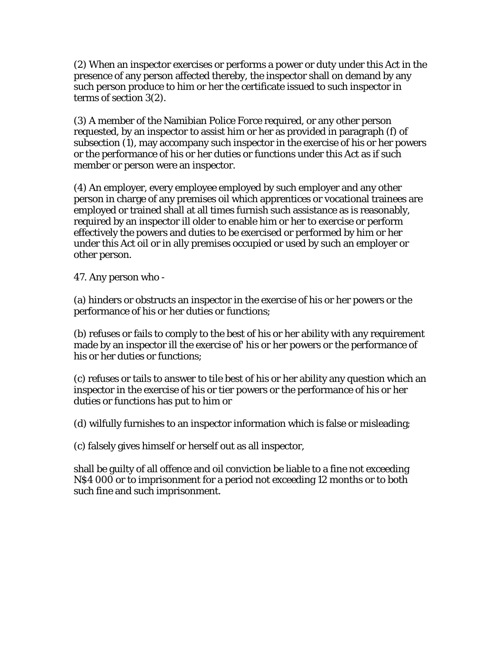(2) When an inspector exercises or performs a power or duty under this Act in the presence of any person affected thereby, the inspector shall on demand by any such person produce to him or her the certificate issued to such inspector in terms of section 3(2).

(3) A member of the Namibian Police Force required, or any other person requested, by an inspector to assist him or her as provided in paragraph (f) of subsection (1), may accompany such inspector in the exercise of his or her powers or the performance of his or her duties or functions under this Act as if such member or person were an inspector.

(4) An employer, every employee employed by such employer and any other person in charge of any premises oil which apprentices or vocational trainees are employed or trained shall at all times furnish such assistance as is reasonably, required by an inspector ill older to enable him or her to exercise or perform effectively the powers and duties to be exercised or performed by him or her under this Act oil or in ally premises occupied or used by such an employer or other person.

47. Any person who -

(a) hinders or obstructs an inspector in the exercise of his or her powers or the performance of his or her duties or functions;

(b) refuses or fails to comply to the best of his or her ability with any requirement made by an inspector ill the exercise of' his or her powers or the performance of his or her duties or functions;

(c) refuses or tails to answer to tile best of his or her ability any question which an inspector in the exercise of his or tier powers or the performance of his or her duties or functions has put to him or

(d) wilfully furnishes to an inspector information which is false or misleading;

(c) falsely gives himself or herself out as all inspector,

shall be guilty of all offence and oil conviction be liable to a fine not exceeding N\$4 000 or to imprisonment for a period not exceeding 12 months or to both such fine and such imprisonment.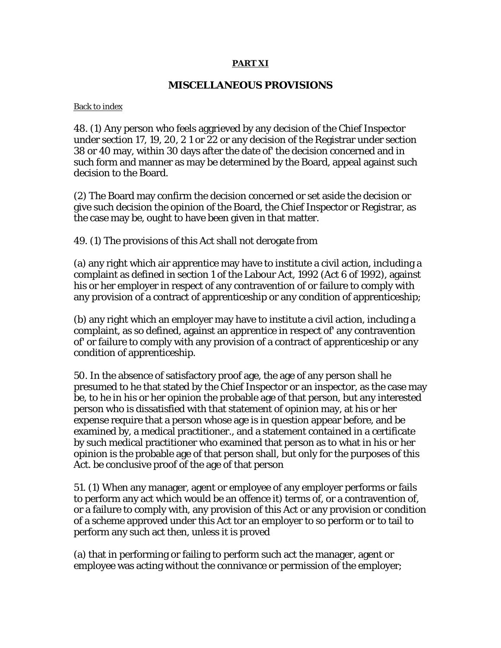#### **PART XI**

### **MISCELLANEOUS PROVISIONS**

#### Back to index

48. (1) Any person who feels aggrieved by any decision of the Chief Inspector under section 17, 19, 20, 2 1 or 22 or any decision of the Registrar under section 38 or 40 may, within 30 days after the date of' the decision concerned and in such form and manner as may be determined by the Board, appeal against such decision to the Board.

(2) The Board may confirm the decision concerned or set aside the decision or give such decision the opinion of the Board, the Chief Inspector or Registrar, as the case may be, ought to have been given in that matter.

49. (1) The provisions of this Act shall not derogate from

(a) any right which air apprentice may have to institute a civil action, including a complaint as defined in section 1 of the Labour Act, 1992 (Act 6 of 1992), against his or her employer in respect of any contravention of or failure to comply with any provision of a contract of apprenticeship or any condition of apprenticeship;

(b) any right which an employer may have to institute a civil action, including a complaint, as so defined, against an apprentice in respect of' any contravention of' or failure to comply with any provision of a contract of apprenticeship or any condition of apprenticeship.

50. In the absence of satisfactory proof age, the age of any person shall he presumed to he that stated by the Chief Inspector or an inspector, as the case may be, to he in his or her opinion the probable age of that person, but any interested person who is dissatisfied with that statement of opinion may, at his or her expense require that a person whose age is in question appear before, and be examined by, a medical practitioner., and a statement contained in a certificate by such medical practitioner who examined that person as to what in his or her opinion is the probable age of that person shall, but only for the purposes of this Act. be conclusive proof of the age of that person

51. (1) When any manager, agent or employee of any employer performs or fails to perform any act which would be an offence it) terms of, or a contravention of, or a failure to comply with, any provision of this Act or any provision or condition of a scheme approved under this Act tor an employer to so perform or to tail to perform any such act then, unless it is proved

(a) that in performing or failing to perform such act the manager, agent or employee was acting without the connivance or permission of the employer;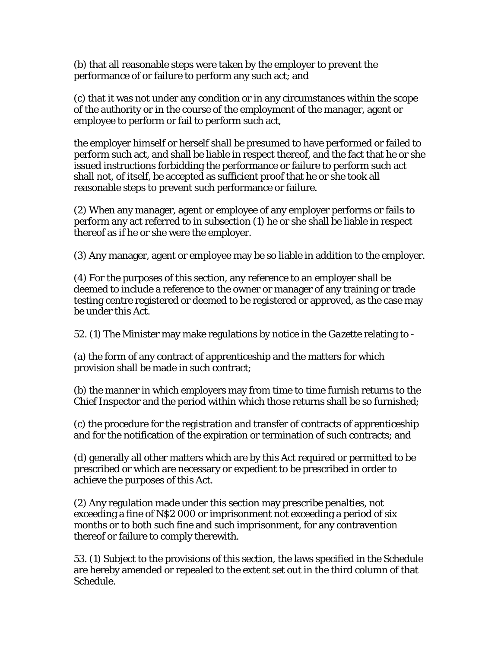(b) that all reasonable steps were taken by the employer to prevent the performance of or failure to perform any such act; and

(c) that it was not under any condition or in any circumstances within the scope of the authority or in the course of the employment of the manager, agent or employee to perform or fail to perform such act,

the employer himself or herself shall be presumed to have performed or failed to perform such act, and shall be liable in respect thereof, and the fact that he or she issued instructions forbidding the performance or failure to perform such act shall not, of itself, be accepted as sufficient proof that he or she took all reasonable steps to prevent such performance or failure.

(2) When any manager, agent or employee of any employer performs or fails to perform any act referred to in subsection (1) he or she shall be liable in respect thereof as if he or she were the employer.

(3) Any manager, agent or employee may be so liable in addition to the employer.

(4) For the purposes of this section, any reference to an employer shall be deemed to include a reference to the owner or manager of any training or trade testing centre registered or deemed to be registered or approved, as the case may be under this Act.

52. (1) The Minister may make regulations by notice in the *Gazette* relating to -

(a) the form of any contract of apprenticeship and the matters for which provision shall be made in such contract;

(b) the manner in which employers may from time to time furnish returns to the Chief Inspector and the period within which those returns shall be so furnished;

(c) the procedure for the registration and transfer of contracts of apprenticeship and for the notification of the expiration or termination of such contracts; and

(d) generally all other matters which are by this Act required or permitted to be prescribed or which are necessary or expedient to be prescribed in order to achieve the purposes of this Act.

(2) Any regulation made under this section may prescribe penalties, not exceeding a fine of N\$2 000 or imprisonment not exceeding a period of six months or to both such fine and such imprisonment, for any contravention thereof or failure to comply therewith.

53. (1) Subject to the provisions of this section, the laws specified in the Schedule are hereby amended or repealed to the extent set out in the third column of that Schedule.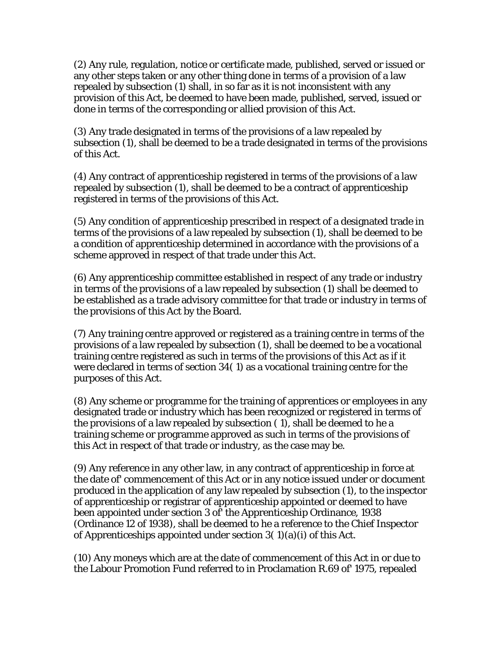(2) Any rule, regulation, notice or certificate made, published, served or issued or any other steps taken or any other thing done in terms of a provision of a law repealed by subsection (1) shall, in so far as it is not inconsistent with any provision of this Act, be deemed to have been made, published, served, issued or done in terms of the corresponding or allied provision of this Act.

(3) Any trade designated in terms of the provisions of a law repealed by subsection (1), shall be deemed to be a trade designated in terms of the provisions of this Act.

(4) Any contract of apprenticeship registered in terms of the provisions of a law repealed by subsection (1), shall be deemed to be a contract of apprenticeship registered in terms of the provisions of this Act.

(5) Any condition of apprenticeship prescribed in respect of a designated trade in terms of the provisions of a law repealed by subsection (1), shall be deemed to be a condition of apprenticeship determined in accordance with the provisions of a scheme approved in respect of that trade under this Act.

(6) Any apprenticeship committee established in respect of any trade or industry in terms of the provisions of a law repealed by subsection (1) shall be deemed to be established as a trade advisory committee for that trade or industry in terms of the provisions of this Act by the Board.

(7) Any training centre approved or registered as a training centre in terms of the provisions of a law repealed by subsection (1), shall be deemed to be a vocational training centre registered as such in terms of the provisions of this Act as if it were declared in terms of section 34( 1) as a vocational training centre for the purposes of this Act.

(8) Any scheme or programme for the training of apprentices or employees in any designated trade or industry which has been recognized or registered in terms of the provisions of a law repealed by subsection ( 1), shall be deemed to he a training scheme or programme approved as such in terms of the provisions of this Act in respect of that trade or industry, as the case may be.

(9) Any reference in any other law, in any contract of apprenticeship in force at the date of' commencement of this Act or in any notice issued under or document produced in the application of any law repealed by subsection (1), to the inspector of apprenticeship or registrar of apprenticeship appointed or deemed to have been appointed under section 3 of' the Apprenticeship Ordinance, 1938 (Ordinance 12 of 1938), shall be deemed to he a reference to the Chief Inspector of Apprenticeships appointed under section  $3(1)(a)(i)$  of this Act.

(10) Any moneys which are at the date of commencement of this Act in or due to the Labour Promotion Fund referred to in Proclamation R.69 of' 1975, repealed